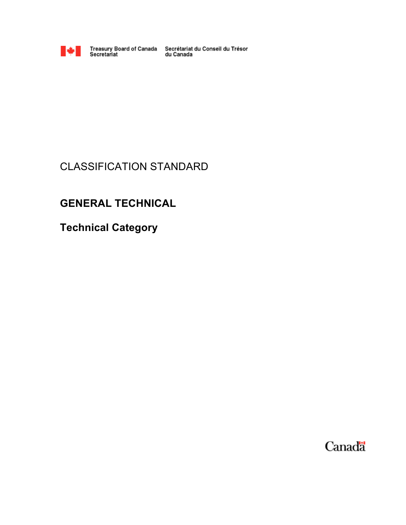

Treasury Board of Canada Secrétariat du Conseil du Trésor<br>Secretariat du Canada

# CLASSIFICATION STANDARD

# **GENERAL TECHNICAL**

**Technical Category**

Canada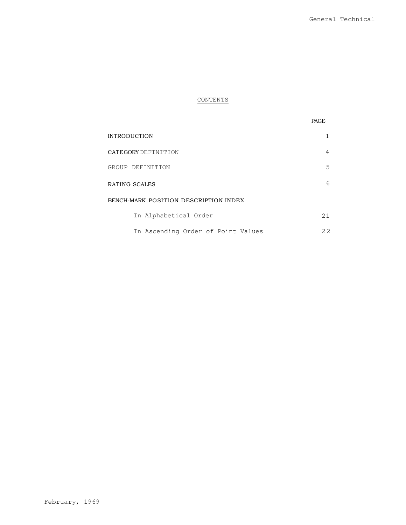## CONTENTS

| <b>INTRODUCTION</b>                   |    |
|---------------------------------------|----|
| CATEGORY DEFINITION                   | 4  |
| GROUP DEFINITION                      | .5 |
| RATING SCALES                         | 6  |
| BENCH-MARK POSITION DESCRIPTION INDEX |    |
| In Alphabetical Order                 | 21 |
| In Ascending Order of Point Values    | 22 |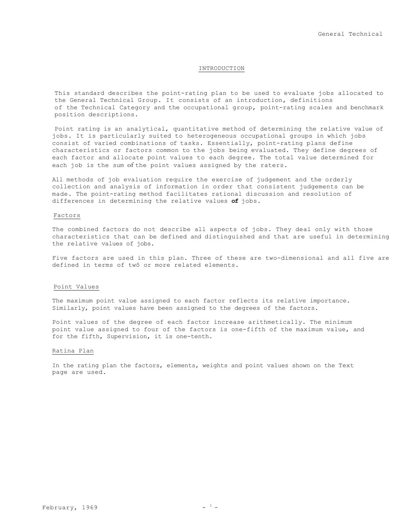### INTRODUCTION

This standard describes the point-rating plan to be used to evaluate jobs allocated to the General Technical Group. It consists of an introduction, definitions of the Technical Category and the occupational group, point-rating scales and benchmark position descriptions.

Point rating is an analytical, quantitative method of determining the relative value of jobs. It is particularly suited to heterogeneous occupational groups in which jobs consist of varied combinations of tasks. Essentially, point-rating plans define characteristics or factors common to the jobs being evaluated. They define degrees of each factor and allocate point values to each degree. The total value determined for each job is the sum of the point values assigned by the raters.

All methods of job evaluation require the exercise of judgement and the orderly collection and analysis of information in order that consistent judgements can be made. The point-rating method facilitates rational discussion and resolution of differences in determining the relative values **of** jobs.

### Factors

The combined factors do not describe all aspects of jobs. They deal only with those characteristics that can be defined and distinguished and that are useful in determining the relative values of jobs.

Five factors are used in this plan. Three of these are two-dimensional and all five are defined in terms of twô or more related elements.

### Point Values

The maximum point value assigned to each factor reflects its relative importance. Similarly, point values have been assigned to the degrees of the factors.

Point values of the degree of each factor increase arithmetically. The minimum point value assigned to four of the factors is one-fifth of the maximum value, and for the fifth, Supervision, it is one-tenth.

### Ratina Plan

In the rating plan the factors, elements, weights and point values shown on the Text page are used.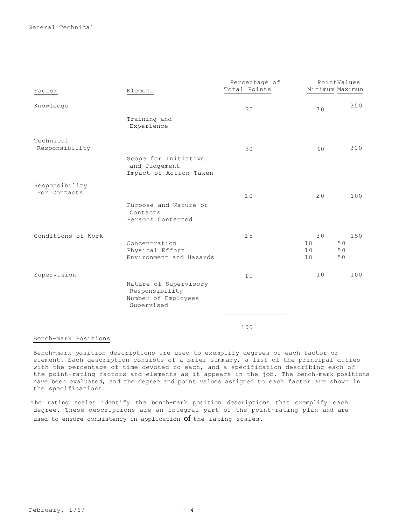General Technical

|                                |                                                                              | Percentage of | PointValues                                   |
|--------------------------------|------------------------------------------------------------------------------|---------------|-----------------------------------------------|
| Factor                         | Element                                                                      | Total Points  | Minimum Maximun                               |
| Knowledge                      |                                                                              | 35            | 350<br>70                                     |
|                                | Training and<br>Experience                                                   |               |                                               |
| Technical<br>Responsibility    |                                                                              | 30            | 300<br>60                                     |
|                                | Scope for Initiative<br>and Judgement<br>Impact of Action Taken              |               |                                               |
| Responsibility<br>For Contacts |                                                                              | 10            | 100<br>20                                     |
|                                | Purpose and Nature of<br>Contacts<br>Persons Contacted                       |               |                                               |
| Conditions of Work             | Concentration<br>Physical Effort<br>Environment and Hazards                  | 15            | 150<br>30<br>50<br>10<br>10<br>50<br>50<br>10 |
| Supervision                    | Nature of Supervisory<br>Responsibility<br>Number of Employees<br>Supervised | 10            | 10<br>100                                     |
|                                |                                                                              |               |                                               |

100

Bench-mark Positions

Bench-mark position descriptions are used to exemplify degrees of each factor or element. Each description consists of a brief summary, a list of the principal duties with the percentage of time devoted to each, and a specification describing each of the point-rating factors and elements as it appears in the job. The bench-mark positions have been evaluated, and the degree and point values assigned to each factor are shown in the specifications.

The rating scales identify the bench-mark position descriptions that exemplify each degree. These descriptions are an integral part of the point-rating plan and are used to ensure consistency in application of the rating scales.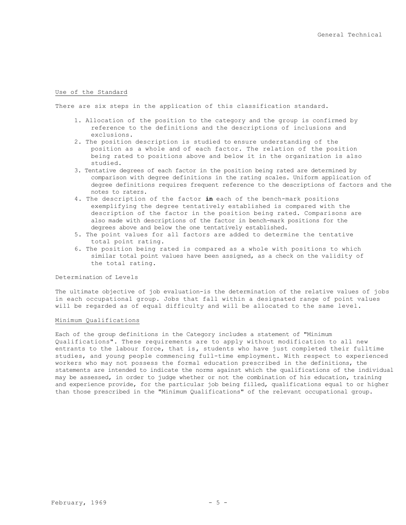### Use of the Standard

There are six steps in the application of this classification standard.

- 1. Allocation of the position to the category and the group is confirmed by reference to the definitions and the descriptions of inclusions and exclusions.
- 2. The position description is studied to ensure understanding of the position as a whole and of each factor. The relation of the position being rated to positions above and below it in the organization is also studied.
- 3. Tentative degrees of each factor in the position being rated are determined by comparison with degree definitions in the rating scales. Uniform application of degree definitions requires frequent reference to the descriptions of factors and the notes to raters.
- 4. The description of the factor **in** each of the bench-mark positions exemplifying the degree tentatively established is compared with the description of the factor in the position being rated. Comparisons are also made with descriptions of the factor in bench-mark positions for the degrees above and below the one tentatively established.
- 5. The point values for all factors are added to determine the tentative total point rating.
- 6. The position being rated is compared as a whole with positions to which similar total point values have been assigned, as a check on the validity of the total rating.

Determination of Levels

The ultimate objective of job evaluation-is the determination of the relative values of jobs in each occupational group. Jobs that fall within a designated range of point values will be regarded as of equal difficulty and will be allocated to the same level.

### Minimum Qualifications

Each of the group definitions in the Category includes a statement of "Minimum Qualifications". These requirements are to apply without modification to all new entrants to the labour force, that is**,** students who have just completed their fulltime studies, and young people commencing full-time employment. With respect to experienced workers who may not possess the formal education prescribed in the definitions, the statements are intended to indicate the norms against which the qualifications of the individual may be assessed, in order to judge whether or not the combination of his education, training and experience provide, for the particular job being filled, qualifications equal to or higher than those prescribed in the "Minimum Qualifications" of the relevant occupational group.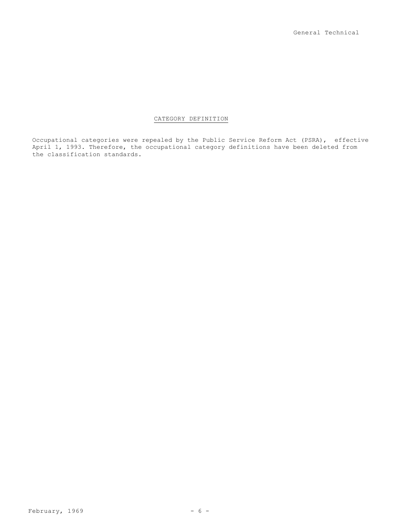### CATEGORY DEFINITION

Occupational categories were repealed by the Public Service Reform Act (PSRA), effective April 1, 1993. Therefore, the occupational category definitions have been deleted from the classification standards.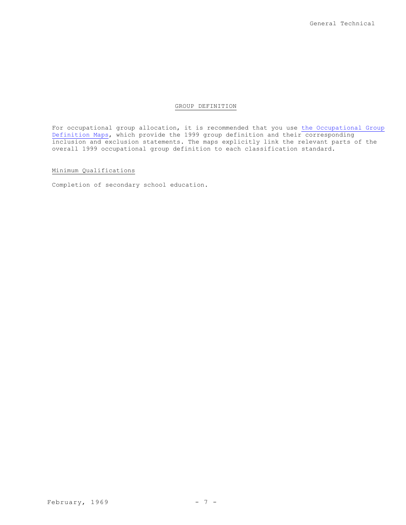### GROUP DEFINITION

For occupational group allocation, it is recommended that you use the Occupational Group Definition Maps, which provide the 1999 group definition and their corresponding inclusion and exclusion statements. The maps explicitly link the relevant parts of the overall 1999 occupational group definition to each classification standard.

### Minimum Qualifications

Completion of secondary school education.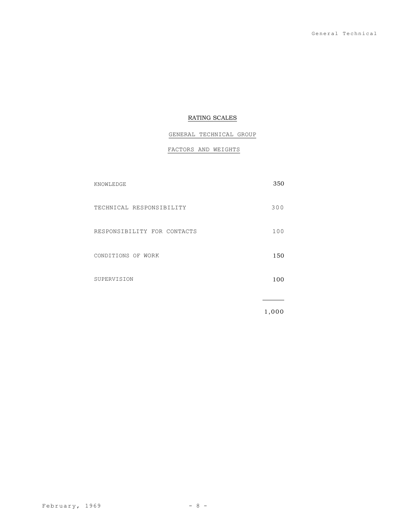## RATING SCALES

## GENERAL TECHNICAL GROUP

## FACTORS AND WEIGHTS

| 350   |
|-------|
| 300   |
| 100   |
| 150   |
| 100   |
|       |
| 1,000 |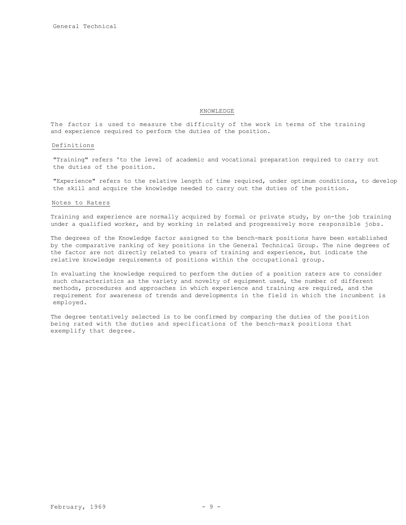### KNOWLEDGE

The factor is used to measure the difficulty of the work in terms of the training and experience required to perform the duties of the position.

### Definitions

"Training" refers 'to the level of academic and vocational preparation required to carry out the duties of the position.

"Experience" refers to the relative length of time required, under optimum conditions, to develop the skill and acquire the knowledge needed to carry out the duties of the position.

### Notes to Raters

Training and experience are normally acquired by formal or private study, by on-the job training under a qualified worker, and by working in related and progressively more responsible jobs.

The degrees of the Knowledge factor assigned to the bench-mark positions have been established by the comparative ranking of key positions in the General Technical Group. The nine degrees of the factor are not directly related to years of training and experience, but indicate the relative knowledge requirements of positions within the occupational group.

In evaluating the knowledge required to perform the duties of a position raters are to consider such characteristics as the variety and novelty of equipment used, the number of different methods, procedures and approaches in which experience and training are required, and the requirement for awareness of trends and developments in the field in which the incumbent is employed.

The degree tentatively selected is to be confirmed by comparing the duties of the position being rated with the duties and specifications of the bench-mark positions that exemplify that degree.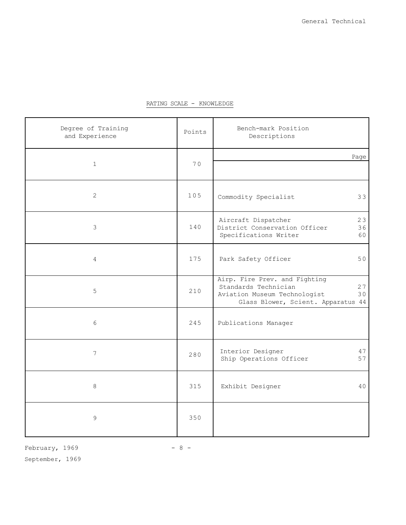| Degree of Training<br>and Experience | Points | Bench-mark Position<br>Descriptions                                                                                                     |
|--------------------------------------|--------|-----------------------------------------------------------------------------------------------------------------------------------------|
| $\mathbf{1}$                         | 70     | Page                                                                                                                                    |
| $\overline{2}$                       | 105    | Commodity Specialist<br>33                                                                                                              |
| 3                                    | 140    | Aircraft Dispatcher<br>23<br>36<br>District Conservation Officer<br>Specifications Writer<br>60                                         |
| $\overline{4}$                       | 175    | 50<br>Park Safety Officer                                                                                                               |
| 5                                    | 210    | Airp. Fire Prev. and Fighting<br>Standards Technician<br>27<br>30<br>Aviation Museum Technologist<br>Glass Blower, Scient. Apparatus 44 |
| $6\phantom{.}6$                      | 245    | Publications Manager                                                                                                                    |
| $\overline{7}$                       | 280    | Interior Designer<br>47<br>57<br>Ship Operations Officer                                                                                |
| 8                                    | 315    | Exhibit Designer<br>40                                                                                                                  |
| $\mathcal{G}$                        | 350    |                                                                                                                                         |

## RATING SCALE - KNOWLEDGE

February,  $1969$  - 8 -

September, 1969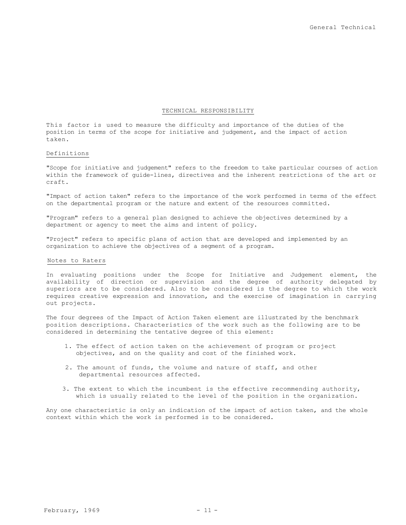### TECHNICAL RESPONSIBILITY

This factor is used to measure the difficulty and importance of the duties of the position in terms of the scope for initiative and judgement, and the impact of action taken.

### Definitions

"Scope for initiative and judgement" refers to the freedom to take particular courses of action within the framework of guide-lines, directives and the inherent restrictions of the art or craft.

"Impact of action taken" refers to the importance of the work performed in terms of the effect on the departmental program or the nature and extent of the resources committed.

"Program" refers to a general plan designed to achieve the objectives determined by a department or agency to meet the aims and intent of policy.

"Project" refers to specific plans of action that are developed and implemented by an organization to achieve the objectives of a segment of a program.

### Notes to Raters

In evaluating positions under the Scope for Initiative and Judgement element, the availability of direction or supervision and the degree of authority delegated by superiors are to be considered. Also to be considered is the degree to which the work requires creative expression and innovation, and the exercise of imagination in carrying out projects.

The four degrees of the Impact of Action Taken element are illustrated by the benchmark position descriptions. Characteristics of the work such as the following are to be considered in determining the tentative degree of this element:

- 1. The effect of action taken on the achievement of program or project objectives, and on the quality and cost of the finished work.
- 2. The amount of funds, the volume and nature of staff, and other departmental resources affected.
- 3. The extent to which the incumbent is the effective recommending authority, which is usually related to the level of the position in the organization.

Any one characteristic is only an indication of the impact of action taken, and the whole context within which the work is performed is to be considered.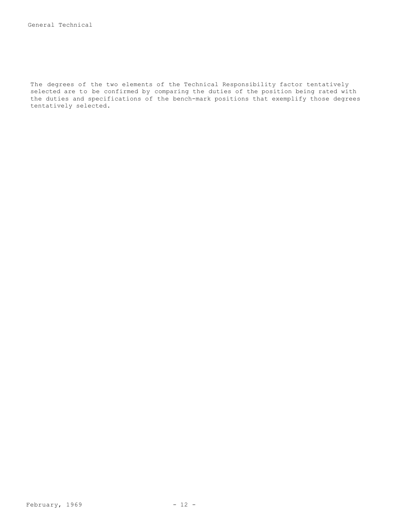The degrees of the two elements of the Technical Responsibility factor tentatively selected are to be confirmed by comparing the duties of the position being rated with the duties and specifications of the bench-mark positions that exemplify those degrees tentatively selected.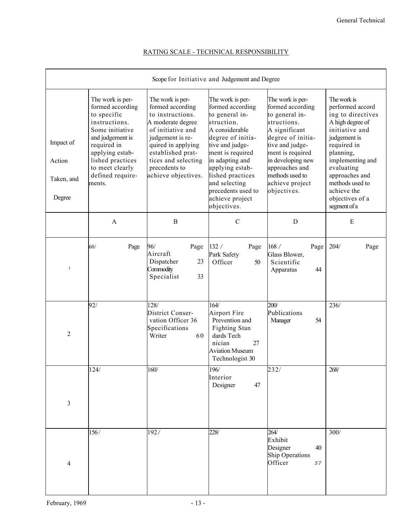| Scope for Initiative and Judgement and Degree |                                                                                                                                                                                                                    |                                                                                                                                                                                                                                  |                                                                                                                                                                                                                                                                                       |                                                                                                                                                                                                                                                |                                                                                                                                                                                                                                                                 |  |
|-----------------------------------------------|--------------------------------------------------------------------------------------------------------------------------------------------------------------------------------------------------------------------|----------------------------------------------------------------------------------------------------------------------------------------------------------------------------------------------------------------------------------|---------------------------------------------------------------------------------------------------------------------------------------------------------------------------------------------------------------------------------------------------------------------------------------|------------------------------------------------------------------------------------------------------------------------------------------------------------------------------------------------------------------------------------------------|-----------------------------------------------------------------------------------------------------------------------------------------------------------------------------------------------------------------------------------------------------------------|--|
| Impact of<br>Action<br>Taken, and<br>Degree   | The work is per-<br>formed according<br>to specific<br>instructions.<br>Some initiative<br>and judgement is<br>required in<br>applying estab-<br>lished practices<br>to meet clearly<br>defined require-<br>ments. | The work is per-<br>formed according<br>to instructions.<br>A moderate degree<br>of initiative and<br>judgement is re-<br>quired in applying<br>established prat-<br>tices and selecting<br>precedents to<br>achieve objectives. | The work is per-<br>formed according<br>to general in-<br>struction.<br>A considerable<br>degree of initia-<br>tive and judge-<br>ment is required<br>in adapting and<br>applying estab-<br>lished practices<br>and selecting<br>precedents used to<br>achieve project<br>objectives. | The work is per-<br>formed according<br>to general in-<br>structions.<br>A significant<br>degree of initia-<br>tive and judge-<br>ment is required<br>in developing new<br>approaches and<br>methods used to<br>achieve project<br>objectives. | The work is<br>performed accord<br>ing to directives<br>A high degree of<br>initiative and<br>judgement is<br>required in<br>planning,<br>implementing and<br>evaluating<br>approaches and<br>methods used to<br>achieve the<br>objectives of a<br>segment of a |  |
|                                               | $\mathbf{A}$                                                                                                                                                                                                       | $\overline{B}$                                                                                                                                                                                                                   | $\mathcal{C}$                                                                                                                                                                                                                                                                         | D                                                                                                                                                                                                                                              | ${\bf E}$                                                                                                                                                                                                                                                       |  |
| $\mathbf{1}$                                  | Page<br>60/                                                                                                                                                                                                        | 96/<br>Page<br>Aircraft<br>Dispatcher<br>23<br>Commodity<br>Specialist<br>33                                                                                                                                                     | 132/<br>Page<br>Park Safety<br>Officer<br>50                                                                                                                                                                                                                                          | 168 /<br>Page<br>Glass Blower,<br>Scientific<br>44<br>Apparatus                                                                                                                                                                                | 204/<br>Page                                                                                                                                                                                                                                                    |  |
| $\overline{2}$                                | 92/                                                                                                                                                                                                                | 128/<br>District Conser-<br>vation Officer 36<br>Specifications<br>Writer<br>60                                                                                                                                                  | 164/<br>Airport Fire<br>Prevention and<br>Fighting Stan<br>dards Tech<br>27<br>nician<br><b>Aviation Museum</b><br>Technologist 30                                                                                                                                                    | 200/<br>Publications<br>54<br>Manager                                                                                                                                                                                                          | 236/                                                                                                                                                                                                                                                            |  |
| $\overline{3}$                                | 124/                                                                                                                                                                                                               | 160/                                                                                                                                                                                                                             | 196/<br>Interior<br>Designer<br>47                                                                                                                                                                                                                                                    | 232/                                                                                                                                                                                                                                           | 268/                                                                                                                                                                                                                                                            |  |
| $\overline{4}$                                | 156/                                                                                                                                                                                                               | 192/                                                                                                                                                                                                                             | 228/                                                                                                                                                                                                                                                                                  | 264/<br>Exhibit<br>Designer<br>40<br><b>Ship Operations</b><br>Officer<br>57                                                                                                                                                                   | 300/                                                                                                                                                                                                                                                            |  |

## RATING SCALE - TECHNICAL RESPONSIBILITY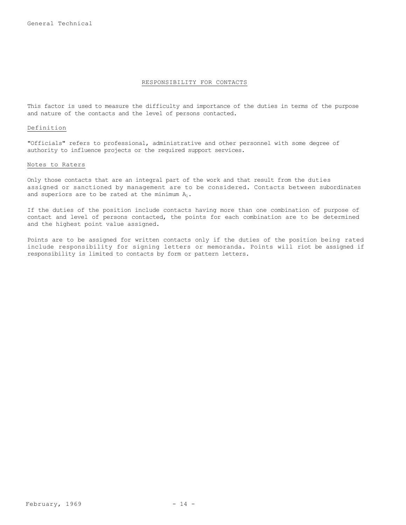### RESPONSIBILITY FOR CONTACTS

This factor is used to measure the difficulty and importance of the duties in terms of the purpose and nature of the contacts and the level of persons contacted.

### Definition

"Officials" refers to professional, administrative and other personnel with some degree of authority to influence projects or the required support services.

### Notes to Raters

Only those contacts that are an integral part of the work and that result from the duties assigned or sanctioned by management are to be considered. Contacts between subordinates and superiors are to be rated at the minimum  $A_1$ .

If the duties of the position include contacts having more than one combination of purpose of contact and level of persons contacted, the points for each combination are to be determined and the highest point value assigned.

Points are to be assigned for written contacts only if the duties of the position being rated include responsibility for signing letters or memoranda. Points will riot be assigned if responsibility is limited to contacts by form or pattern letters.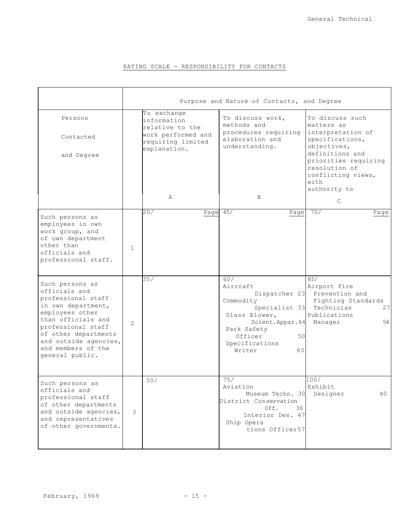## RATING SCALE - RESPONSIBILITY FOR CONTACTS

|                                                                                                                                                                                                                                       | Purpose and Nature of Contacts, and Degree |                                               |                                                                                                                                                                      |                                                                                                                  |
|---------------------------------------------------------------------------------------------------------------------------------------------------------------------------------------------------------------------------------------|--------------------------------------------|-----------------------------------------------|----------------------------------------------------------------------------------------------------------------------------------------------------------------------|------------------------------------------------------------------------------------------------------------------|
| Persons                                                                                                                                                                                                                               |                                            | To exchange<br>information<br>relative to the | To discuss work,<br>methods and                                                                                                                                      | To discuss such<br>matters as                                                                                    |
| Contacted                                                                                                                                                                                                                             |                                            | work performed and<br>requiring limited       | procedures requiring<br>elaboration and<br>understanding.                                                                                                            | interpretation of<br>specifications,<br>objectives,                                                              |
| and Degree                                                                                                                                                                                                                            |                                            | explanation.                                  |                                                                                                                                                                      | definitions and<br>priorities requiring<br>resolution of<br>conflicting views,<br>with<br>authority to           |
|                                                                                                                                                                                                                                       |                                            | Α                                             | B                                                                                                                                                                    | C                                                                                                                |
| Such persons as<br>employees in own<br>work group, and<br>of own department<br>other than<br>officials and<br>professional staff.                                                                                                     | $\mathbf{1}$                               | 20/<br>Page $45/$                             | Page                                                                                                                                                                 | 70/<br>Page                                                                                                      |
| Such persons as<br>officials and<br>professional staff<br>in own department,<br>employees other<br>than officials and<br>professional staff<br>of other departments<br>and outside agencies,<br>and members of the<br>general public. | $\overline{2}$                             | 35/                                           | 60/<br>Aircraft<br>Dispatcher 23<br>Commodity<br>Specialist 33<br>Glass Blower,<br>Scient.Appar.44<br>Park Safety<br>Officer<br>50<br>Specifications<br>Writer<br>60 | 85/<br>Airport Fire<br>Prevention and<br>Fighting Standards<br>Technician<br>27<br>Publications<br>54<br>Manager |
| Such persons as<br>officials and<br>professional staff<br>of other departments<br>and outside agencies,<br>and representatives<br>of other governments.                                                                               | 3                                          | 50/                                           | 75/<br>Aviation<br>Museum Techn. 30<br>District Conservation<br>Off.<br>36<br>Interior Des. 47<br>Ship Opera<br>tions Officer57                                      | 100/<br>Exhibit<br>Designer<br>40                                                                                |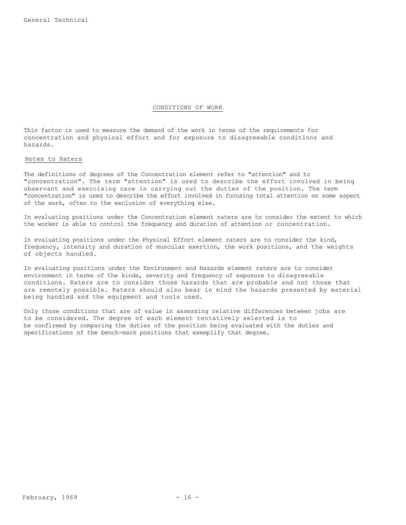### CONDITIONS OF WORK

This factor is used to measure the demand of the work in terms of the requirements for concentration and physical effort and for exposure to disagreeable conditions and hazards.

### Notes to Raters

The definitions of degrees of the Concentration element refer to "attention" and to "concentration". The term "attention" is used to describe the effort involved in being observant and exercising care in carrying out the duties of the position. The term "concentration" is used to describe the effort involved in focusing total attention on some aspect of the work, often to the exclusion of everything else.

In evaluating positions under the Concentration element raters are to consider the extent to which the worker is able to control the frequency and duration of attention or concentration.

In evaluating positions under the Physical Effort element raters are to consider the kind, frequency, intensity and duration of muscular exertion, the work positions, and the weights of objects handled.

In evaluating positions under the Environment and Hazards element raters are to consider environment in terms of the kinds, severity and frequency of exposure to disagreeable conditions. Raters are to consider those hazards that are probable and not those that are remotely possible. Raters should also bear in mind the hazards presented by material being handled and the equipment and tools used.

Only those conditions that are of value in assessing relative differences between jobs are to be considered. The degree of each element tentatively selected is to be confirmed by comparing the duties of the position being evaluated with the duties and specifications of the bench-mark positions that exemplify that degree.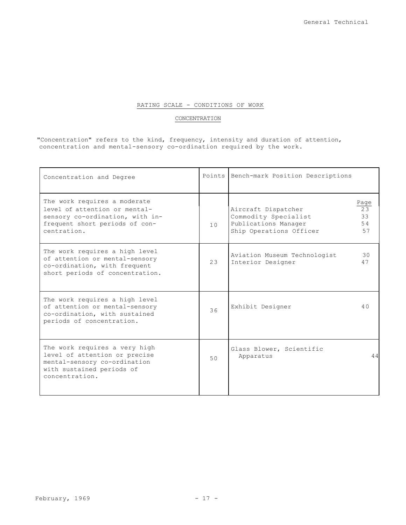## RATING SCALE - CONDITIONS OF WORK

## **CONCENTRATION**

"Concentration" refers to the kind, frequency, intensity and duration of attention, concentration and mental-sensory co-ordination required by the work.

| Concentration and Degree                                                                                                                          |    | Points Bench-mark Position Descriptions                                                                                        |
|---------------------------------------------------------------------------------------------------------------------------------------------------|----|--------------------------------------------------------------------------------------------------------------------------------|
| The work requires a moderate<br>level of attention or mental-<br>sensory co-ordination, with in-<br>frequent short periods of con-<br>centration. | 10 | Page<br>23<br>Aircraft Dispatcher<br>33<br>Commodity Specialist<br>54<br>Publications Manager<br>Ship Operations Officer<br>57 |
| The work requires a high level<br>of attention or mental-sensory<br>co-ordination, with frequent<br>short periods of concentration.               | 23 | 30<br>Aviation Museum Technologist<br>Interior Designer<br>47                                                                  |
| The work requires a high level<br>of attention or mental-sensory<br>co-ordination, with sustained<br>periods of concentration.                    | 36 | Exhibit Designer<br>40                                                                                                         |
| The work requires a very high<br>level of attention or precise<br>mental-sensory co-ordination<br>with sustained periods of<br>concentration.     | 50 | Glass Blower, Scientific<br>44<br>Apparatus                                                                                    |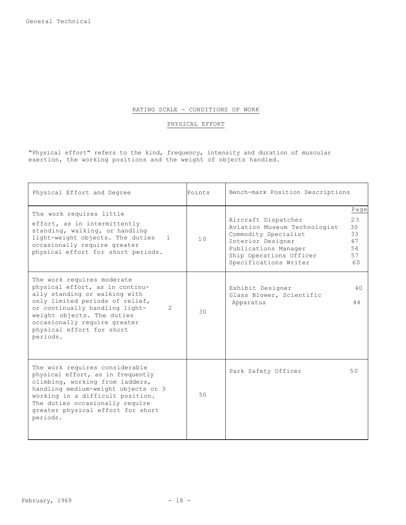### RATING SCALE - CONDITIONS OF WORK

### PHYSICAL EFFORT

"Physical effort" refers to the kind, frequency, intensity and duration of muscular exertion, the working positions and the weight of objects handled.

| Physical Effort and Degree                                                                                                                                                                                                                                                                   | Points | Bench-mark Position Descriptions                                                                                                                                             |                                                |
|----------------------------------------------------------------------------------------------------------------------------------------------------------------------------------------------------------------------------------------------------------------------------------------------|--------|------------------------------------------------------------------------------------------------------------------------------------------------------------------------------|------------------------------------------------|
| The work requires little<br>effort, as in intermittently<br>standing, walking, or handling<br>light-weight objects. The duties<br>1<br>occasionally require greater<br>physical effort for short periods.                                                                                    | 10     | Aircraft Dispatcher<br>Aviation Museum Technologist<br>Commodity Specialist<br>Interior Designer<br>Publications Manager<br>Ship Operations Officer<br>Specifications Writer | Page<br>23<br>30<br>33<br>47<br>54<br>57<br>60 |
| The work requires moderate<br>physical effort, as in continu-<br>ally standing or walking with<br>only limited periods of relief,<br>or continually handling light-<br>$\overline{2}$<br>weight objects. The duties<br>occasionally require greater<br>physical effort for short<br>periods. | 30     | Exhibit Designer<br>Glass Blower, Scientific<br>Apparatus                                                                                                                    | 40<br>44                                       |
| The work requires considerable<br>physical effort, as in frequently<br>climbing, working from ladders,<br>handling medium-weight objects or 3<br>working in a difficult position.<br>The duties occasionally require<br>greater physical effort for short<br>periods.                        | 50     | Park Safety Officer                                                                                                                                                          | 50                                             |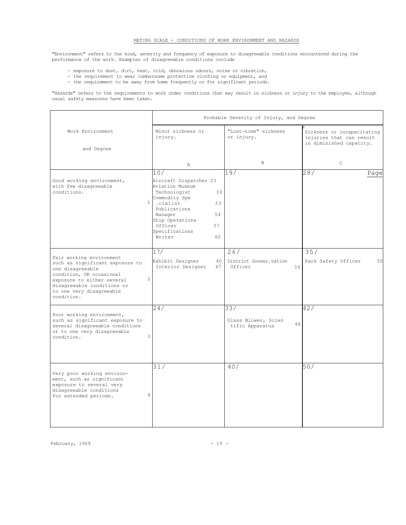### MATING SCALE - CONDITIONS OF WORK ENVIRONMENT AND HAZARDS

"Environment" refers to the kind, severity and frequency of exposure to disagreeable conditions encountered during the performance of the work. Examples of disagreeable conditions include

- exposure to dust, dirt, heat, cold, obnoxious odours, noise or vibration,
- the requirement to wear cumbersome protective clothing or equipment, and
- the requirement to be away from home frequently or for significant periods.

"Hazards" refers to the requirements to work under conditions that may result in sickness or injury to the employee, although usual safety measures have been taken.

|                                                                                                                                                                                                                   | Probable Severity of Injury, and Degree                                                                                                                                                                                   |                                                     |                                                                                   |  |  |
|-------------------------------------------------------------------------------------------------------------------------------------------------------------------------------------------------------------------|---------------------------------------------------------------------------------------------------------------------------------------------------------------------------------------------------------------------------|-----------------------------------------------------|-----------------------------------------------------------------------------------|--|--|
| Work Environment                                                                                                                                                                                                  | Minor sickness or<br>injury.                                                                                                                                                                                              | "Lost-time" sickness<br>or injury.                  | Sickness or incapacitating<br>injuries that can result<br>in diminished capacity. |  |  |
| and Degree                                                                                                                                                                                                        |                                                                                                                                                                                                                           |                                                     |                                                                                   |  |  |
|                                                                                                                                                                                                                   | $\mathbb{A}$                                                                                                                                                                                                              | <sub>B</sub>                                        | $\mathsf{C}$                                                                      |  |  |
|                                                                                                                                                                                                                   | 10/                                                                                                                                                                                                                       | 19/                                                 | 28/<br>Page                                                                       |  |  |
| Good working environment,<br>with few disagreeable<br>conditions.                                                                                                                                                 | Aircraft Dispatcher 23<br>Aviation Museum<br>Technologist<br>30<br>Commodity Spe<br>$\mathbf{1}$<br>.cialist<br>33<br>Publications<br>54<br>Manager<br>Ship Operations<br>Officer<br>57<br>Specifications<br>Writer<br>60 |                                                     |                                                                                   |  |  |
| Fair working environment<br>such as significant exposure to<br>one disagreeable<br>condition, OR occasional<br>exposure to either several<br>disagreeable conditions or<br>to one very disagreeable<br>condition. | 17/<br>Exhibit Designer<br>40<br>Interior Designer<br>47<br>$\overline{c}$                                                                                                                                                | 26/<br>District Gonser.vation<br>Officer<br>36      | 35/<br>Park Safety Officer<br>50                                                  |  |  |
| Poor working environment,<br>such as significant exposure to<br>several disagreeable conditions<br>or to one very disagreeable<br>condition.                                                                      | $\overline{2}$ 4/<br>3                                                                                                                                                                                                    | 33/<br>Glass Blower, Scien<br>44<br>tific Apparatus | 42/                                                                               |  |  |
| Very poor working environ-<br>ment, such as significant<br>exposure to several very<br>disagreeable conditions<br>for extended periods.                                                                           | 31/<br>4                                                                                                                                                                                                                  | 40/                                                 | 50/                                                                               |  |  |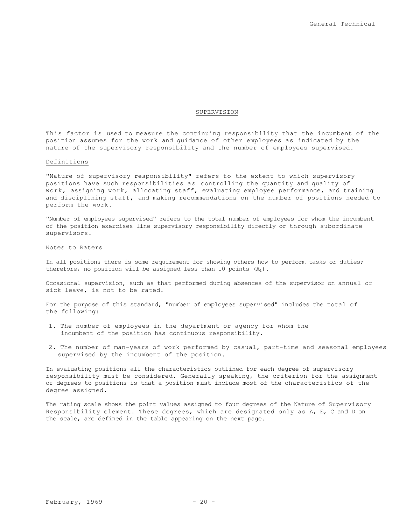### SUPERVISION

This factor is used to measure the continuing responsibility that the incumbent of the position assumes for the work and guidance of other employees as indicated by the nature of the supervisory responsibility and the number of employees supervised.

### Definitions

"Nature of supervisory responsibility" refers to the extent to which supervisory positions have such responsibilities as controlling the quantity and quality of work, assigning work, allocating staff, evaluating employee performance, and training and disciplining staff, and making recommendations on the number of positions needed to perform the work.

"Number of employees supervised" refers to the total number of employees for whom the incumbent of the position exercises line supervisory responsibility directly or through subordinate supervisors.

### Notes to Raters

In all positions there is some requirement for showing others how to perform tasks or duties; therefore, no position will be assigned less than 10 points  $(A_1)$ .

Occasional supervision, such as that performed during absences of the supervisor on annual or sick leave, is not to be rated.

For the purpose of this standard, "number of employees supervised" includes the total of the following:

- 1. The number of employees in the department or agency for whom the incumbent of the position has continuous responsibility.
- 2. The number of man-years of work performed by casual, part-time and seasonal employees supervised by the incumbent of the position.

In evaluating positions all the characteristics outlined for each degree of supervisory responsibility must be considered. Generally speaking, the criterion for the assignment of degrees to positions is that a position must include most of the characteristics of the degree assigned.

The rating scale shows the point values assigned to four degrees of the Nature of Supervisory Responsibility element. These degrees, which are designated only as A, E, C and D on the scale, are defined in the table appearing on the next page.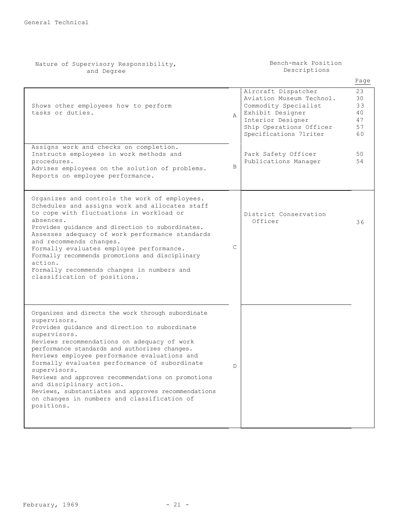| Nature of Supervisory Responsibility,<br>and Degree                                                                                                                                                                                                                                                                                                                                                                                                                                                                                                         |              | Bench-mark Position<br>Descriptions                                                                                                                                   |                                        |
|-------------------------------------------------------------------------------------------------------------------------------------------------------------------------------------------------------------------------------------------------------------------------------------------------------------------------------------------------------------------------------------------------------------------------------------------------------------------------------------------------------------------------------------------------------------|--------------|-----------------------------------------------------------------------------------------------------------------------------------------------------------------------|----------------------------------------|
|                                                                                                                                                                                                                                                                                                                                                                                                                                                                                                                                                             |              |                                                                                                                                                                       | Page                                   |
| Shows other employees how to perform<br>tasks or duties.                                                                                                                                                                                                                                                                                                                                                                                                                                                                                                    | Α            | Aircraft Dispatcher<br>Aviation Museum Technol.<br>Commodity Specialist<br>Exhibit Designer<br>Interior Designer<br>Ship Operations Officer<br>Specifications 71riter | 23<br>30<br>33<br>40<br>47<br>57<br>60 |
| Assigns work and checks on completion.<br>Instructs employees in work methods and<br>procedures.<br>Advises employees on the solution of problems.<br>Reports on employee performance.                                                                                                                                                                                                                                                                                                                                                                      | B            | Park Safety Officer<br>Publications Manager                                                                                                                           | 50<br>54                               |
| Organizes and controls the work of employees.<br>Schedules and assigns work and allocates staff<br>to cope with fluctuations in workload or<br>absences.<br>Provides quidance and direction to subordinates.<br>Assesses adequacy of work performance standards<br>and recommends changes.<br>Formally evaluates employee performance.<br>Formally recommends promotions and disciplinary<br>action.<br>Formally recommends changes in numbers and<br>classification of positions.                                                                          | $\mathsf{C}$ | District Conservation<br>Officer                                                                                                                                      | 36                                     |
| Organizes and directs the work through subordinate<br>supervisors.<br>Provides guidance and direction to subordinate<br>supervisors.<br>Reviews recommendations on adequacy of work<br>performance standards and authorizes changes.<br>Reviews employee performance evaluations and<br>formally evaluates performance of subordinate<br>supervisors.<br>Reviews and approves recommendations on promotions<br>and disciplinary action.<br>Reviews, substantiates and approves recommendations<br>on changes in numbers and classification of<br>positions. | D            |                                                                                                                                                                       |                                        |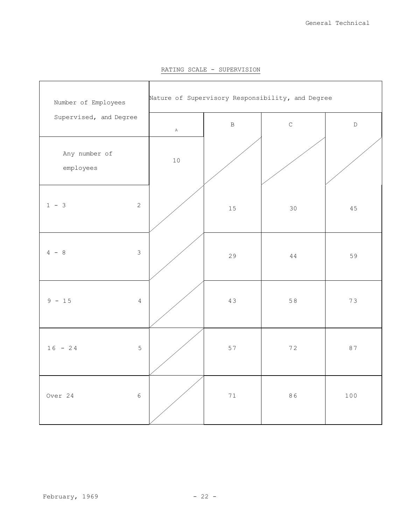| Number of Employees        | Nature of Supervisory Responsibility, and Degree |              |             |             |  |
|----------------------------|--------------------------------------------------|--------------|-------------|-------------|--|
| Supervised, and Degree     | $\, {\bf A}$                                     | $\, {\bf B}$ | $\mathsf C$ | $\mathbb D$ |  |
| Any number of<br>employees | $10$                                             |              |             |             |  |
| $1 - 3$<br>$\mathbf{2}$    |                                                  | $15\,$       | $30$        | 45          |  |
| $4 - 8$<br>$\mathfrak{Z}$  |                                                  | 29           | $4\,4$      | 59          |  |
| $9 - 15$<br>$\overline{4}$ |                                                  | 43           | 58          | 73          |  |
| $16 - 24$<br>$\mathbf 5$   |                                                  | 57           | 72          | 87          |  |
| Over 24<br>$\sqrt{6}$      |                                                  | $7\,1$       | 86          | 100         |  |

RATING SCALE - SUPERVISION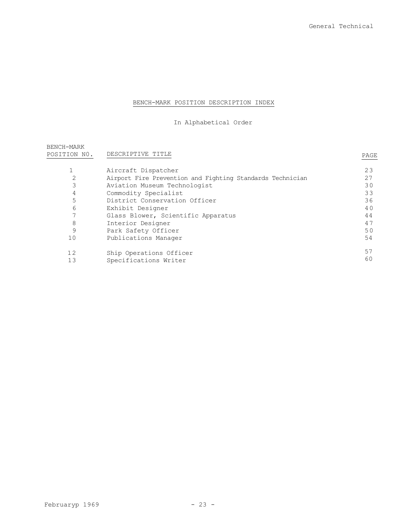## BENCH-MARK POSITION DESCRIPTION INDEX

## In Alphabetical Order

| BENCH-MARK<br>POSITION NO. | DESCRIPTIVE TITLE                                         | PAGE |
|----------------------------|-----------------------------------------------------------|------|
|                            |                                                           |      |
|                            | Aircraft Dispatcher                                       | 23   |
| 2                          | Airport Fire Prevention and Fighting Standards Technician | 27   |
| 3                          | Aviation Museum Technologist                              | 30   |
| 4                          | Commodity Specialist                                      | 33   |
| 5                          | District Conservation Officer                             | 36   |
| 6                          | Exhibit Designer                                          | 40   |
| 7                          | Glass Blower, Scientific Apparatus                        | 44   |
| 8                          | Interior Designer                                         | 47   |
| 9                          | Park Safety Officer                                       | 50   |
| 10                         | Publications Manager                                      | 54   |
| 12                         | Ship Operations Officer                                   | 57   |
| 13                         | Specifications Writer                                     | 60   |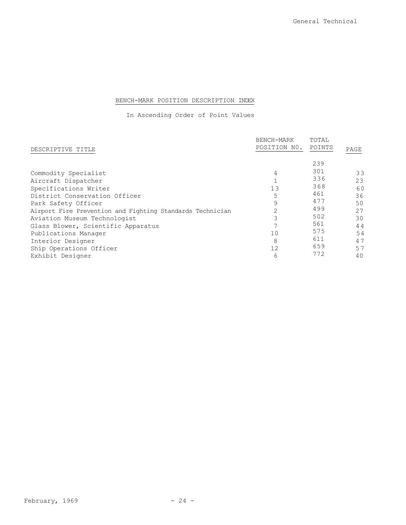## BENCH-MARK POSITION DESCRIPTION INDEX

In Ascending Order of Point Values

|                                                                                           | BENCH-MARK   | TOTAL      |          |
|-------------------------------------------------------------------------------------------|--------------|------------|----------|
| DESCRIPTIVE TITLE                                                                         | POSITION NO. | POINTS     | PAGE     |
|                                                                                           | 4            | 239<br>301 | 33       |
| Commodity Specialist<br>Aircraft Dispatcher                                               |              | 336        | 23       |
| Specifications Writer<br>District Conservation Officer                                    | 13<br>5      | 368<br>461 | 60<br>36 |
| Park Safety Officer                                                                       | 9            | 477<br>499 | 50       |
| Airport Fire Prevention and Fighting Standards Technician<br>Aviation Museum Technologist |              | 502        | 27<br>30 |
| Glass Blower, Scientific Apparatus<br>Publications Manager                                | 10           | 561<br>575 | 44<br>54 |
| Interior Designer                                                                         | 8            | 611        | 47       |
| Ship Operations Officer<br>Exhibit Designer                                               | 12<br>6      | 659<br>772 | 57<br>40 |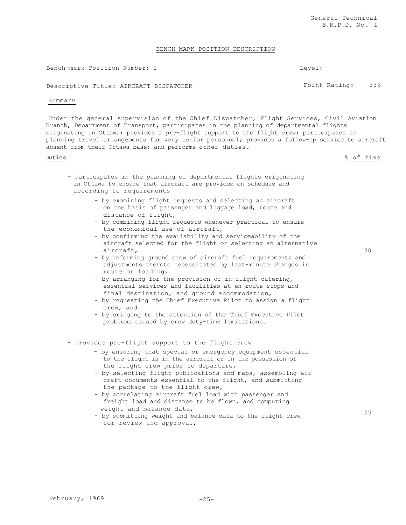### BENCH-MARK POSITION DESCRIPTION

Bench-mark Position Number: 1 Level:

Descriptive Title: AIRCRAFT DISPATCHER **Provident Constructs** Point Rating: 336

### Summarv

Under the general supervision of the Chief Dispatcher, Flight Services, Civil Aviation Branch, Department of Transport, participates in the planning of departmental flights originating in Ottawa; provides a pre-flight support to the flight crew; participates in planning travel arrangements for very senior personnel; provides a follow-up service to aircraft absent from their Ottawa base; and performs other duties.

- Duties % of Time
	- Participates in the planning of departmental flights originating in Ottawa to ensure that aircraft are provided on schedule and according to requirements
		- by examining flight requests and selecting an aircraft on the basis of passenger and luggage load, route and distance of flight,
		- by combining flight requests whenever practical to ensure the economical use of aircraft,
		- by confirming the availability and serviceability of the aircraft selected for the flight or selecting an alternative aircraft,
		- by informing ground crew of aircraft fuel requirements and adjustments thereto necessitated by last-minute changes in route or loading,
		- by arranging for the provision of in-flight catering, essential services and facilities at en route stops and final destination, and ground accommodation,
		- by requesting the Chief Executive Pilot to assign a flight crew, and
		- by bringing to the attention of the Chief Executive Pilot problems caused by crew duty-time limitations.
	- Provides pre-flight support to the flight crew
		- by ensuring that special or emergency equipment essential to the flight is in the aircraft or in the possession of the flight crew prior to departure,
		- by selecting flight publications and maps, assembling air craft documents essential to the flight, and submitting the package to the flight crew,
		- by correlating aircraft fuel load with passenger and freight load and distance to be flown, and computing weight and balance data,
		- by submitting weight and balance data to the flight crew for review and approval,

30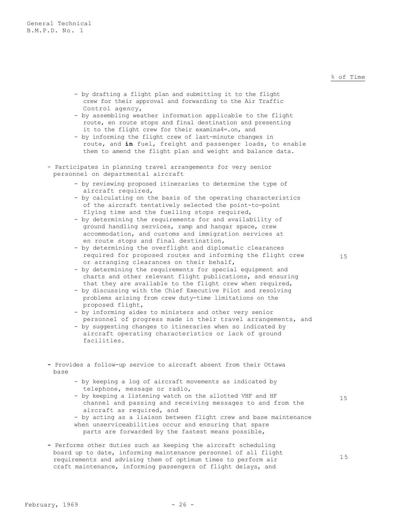### % of Time

- by drafting a flight plan and submitting it to the flight crew for their approval and forwarding to the Air Traffic Control agency,
- by assembling weather information applicable to the flight route, en route stops and final destination and presenting it to the flight crew for their examina4=.on, and
- by informing the flight crew of last-minute changes in route, and **in** fuel, freight and passenger loads, to enable them to amend the flight plan and weight and balance data.
- Participates in planning travel arrangements for very senior personnel on departmental aircraft
	- by reviewing proposed itineraries to determine the type of aircraft required,
	- by calculating on the basis of the operating characteristics of the aircraft tentatively selected the point-to-point flying time and the fuelling stops required,
	- by determining the requirements for and availability of ground handling services, ramp and hangar space, crew accommodation, and customs and immigration services at en route stops and final destination,
	- by determining the overflight and diplomatic clearances required for proposed routes and informing the flight crew or arranging clearances on their behalf,
	- by determining the requirements for special equipment and charts and other relevant flight publications, and ensuring that they are available to the flight crew when required,
	- by discussing with the Chief Executive Pilot and resolving problems arising from crew duty-time limitations on the proposed flight,
	- by informing aides to ministers and other very senior personnel of progress made in their travel arrangements, and
	- by suggesting changes to itineraries when so indicated by aircraft operating characteristics or lack of ground facilities.
- **-** Provides a follow-up service to aircraft absent from their Ottawa base
	- by keeping a log of aircraft movements as indicated by telephone, message or radio,
	- by keeping a listening watch on the allotted VHF and HF channel and passing and receiving messages to and from the aircraft as required, and
	- by acting as a liaison between flight crew and base maintenance when unserviceabilities occur and ensuring that spare parts are forwarded by the fastest means possible,
- **-** Performs other duties such as keeping the aircraft scheduling board up to date, informing maintenance personnel of all flight requirements and advising them of optimum times to perform air craft maintenance, informing passengers of flight delays, and

1 5

15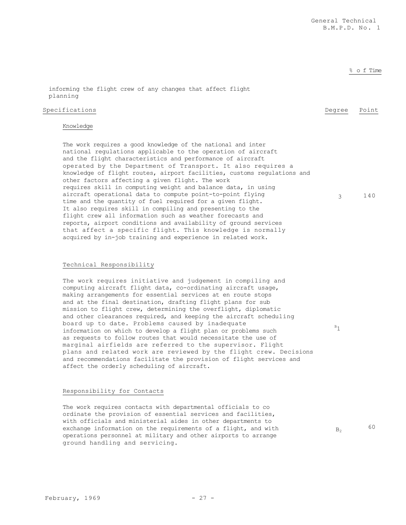### % o f Time

3 140

informing the flight crew of any changes that affect flight planning

### Specifications **Degree** Point

## Knowledge

The work requires a good knowledge of the national and inter national regulations applicable to the operation of aircraft and the flight characteristics and performance of aircraft operated by the Department of Transport. It also requires a knowledge of flight routes, airport facilities, customs regulations and other factors affecting a given flight. The work requires skill in computing weight and balance data, in using aircraft operational data to compute point-to-point flying time and the quantity of fuel required for a given flight. It also requires skill in compiling and presenting to the flight crew all information such as weather forecasts and reports, airport conditions and availability of ground services that affect a specific flight. This knowledge is normally acquired by in-job training and experience in related work.

### Technical Responsibility

The work requires initiative and judgement in compiling and computing aircraft flight data, co-ordinating aircraft usage, making arrangements for essential services at en route stops and at the final destination, drafting flight plans for sub mission to flight crew, determining the overflight, diplomatic and other clearances required, and keeping the aircraft scheduling board up to date. Problems caused by inadequate information on which to develop a flight plan or problems such as requests to follow routes that would necessitate the use of marginal airfields are referred to the supervisor. Flight plans and related work are reviewed by the flight crew. Decisions and recommendations facilitate the provision of flight services and affect the orderly scheduling of aircraft.

### Responsibility for Contacts

The work requires contacts with departmental officials to co ordinate the provision of essential services and facilities, with officials and ministerial aides in other departments to exchange information on the requirements of a flight, and with operations personnel at military and other airports to arrange ground handling and servicing.

 $B<sub>2</sub>$  60

 $B_1$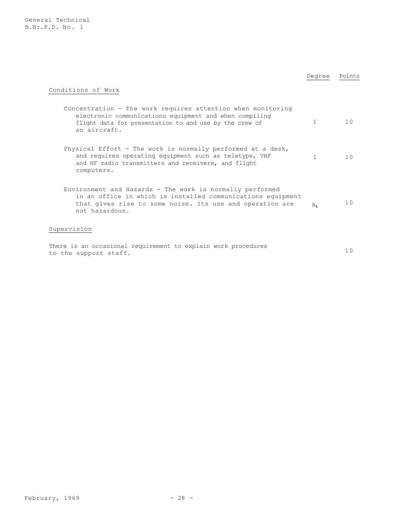General Technical B.N:.P.D. No. 1

|                                                                                                                                                                                                       | Degree  | Points |  |
|-------------------------------------------------------------------------------------------------------------------------------------------------------------------------------------------------------|---------|--------|--|
| Conditions of Work                                                                                                                                                                                    |         |        |  |
| Concentration - The work requires attention when monitoring<br>electronic communications equipment and when compiling<br>flight data for presentation to and use by the crew of<br>an aircraft.       | 1       | 10     |  |
| Physical Effort - The work is normally performed at a desk,<br>and requires operating equipment such as teletype, VHF<br>and HF radio transmitters and receivers, and flight<br>computers.            | 1       | 10     |  |
| Environment and Hazards - The work is normally performed<br>in an office in which is installed communications equipment<br>that gives rise to some noise. Its use and operation are<br>not hazardous. | $A_{1}$ | 10     |  |
| Supervision                                                                                                                                                                                           |         |        |  |
| There is an occasional requirement to explain work procedures<br>to the support staff.                                                                                                                |         | 10     |  |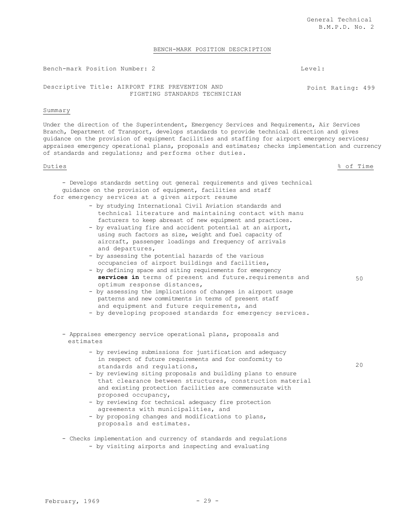Point Rating: 499

### BENCH-MARK POSITION DESCRIPTION

Bench-mark Position Number: 2 Level:

Descriptive Title: AIRPORT FIRE PREVENTION AND FIGHTING STANDARDS TECHNICIAN

### Summary

Under the direction of the Superintendent, Emergency Services and Requirements, Air Services Branch, Department of Transport, develops standards to provide technical direction and gives guidance on the provision of equipment facilities and staffing for airport emergency services; appraises emergency operational plans, proposals and estimates; checks implementation and currency of standards and regulations; and performs other duties.

Duties % of Time

50

 $20$ 

- Develops standards setting out general requirements and gives technical guidance on the provision of equipment, facilities and staff for emergency services at a given airport resume

- by studying International Civil Aviation standards and technical literature and maintaining contact with manu facturers to keep abreast of new equipment and practices.
- by evaluating fire and accident potential at an airport, using such factors as size, weight and fuel capacity of aircraft, passenger loadings and frequency of arrivals and departures,
- by assessing the potential hazards of the various occupancies of airport buildings and facilities,
- by defining space and siting requirements for emergency **services in** terms of present and future.requirements and optimum response distances,
- by assessing the implications of changes in airport usage patterns and new commitments in terms of present staff and equipment and future requirements, and
- by developing proposed standards for emergency services.

- Appraises emergency service operational plans, proposals and estimates

- by reviewing submissions for justification and adequacy in respect of future requirements and for conformity to standards and regulations,
- by reviewing siting proposals and building plans to ensure that clearance between structures, construction material and existing protection facilities are commensurate with proposed occupancy,
- by reviewing for technical adequacy fire protection agreements with municipalities, and
- by proposing changes and modifications to plans, proposals and estimates.
- Checks implementation and currency of standards and regulations - by visiting airports and inspecting and evaluating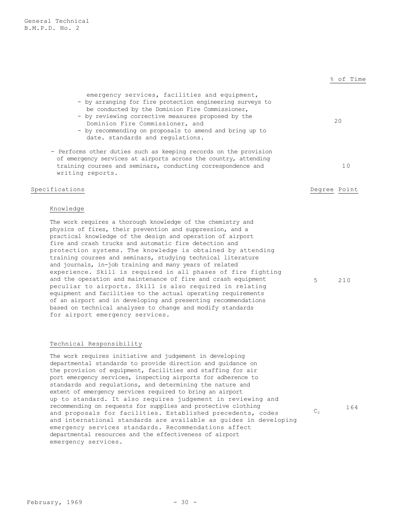|                                                                                                                                                                                                                                                                                                                                                       | % of Time    |
|-------------------------------------------------------------------------------------------------------------------------------------------------------------------------------------------------------------------------------------------------------------------------------------------------------------------------------------------------------|--------------|
| emergency services, facilities and equipment,<br>- by arranging for fire protection engineering surveys to<br>be conducted by the Dominion Fire Commissioner,<br>- by reviewing corrective measures proposed by the<br>Dominion Fire Commissioner, and<br>- by recommending on proposals to amend and bring up to<br>date. standards and requiations. | 20           |
| - Performs other duties such as keeping records on the provision<br>of emergency services at airports across the country, attending<br>training courses and seminars, conducting correspondence and<br>writing reports.                                                                                                                               | 10           |
| Specifications                                                                                                                                                                                                                                                                                                                                        | Degree Point |
| Knowledge                                                                                                                                                                                                                                                                                                                                             |              |
| The work requires a thorough knowledge of the chemistry and<br>physics of fires, their prevention and suppression, and a                                                                                                                                                                                                                              |              |

physics of fires, their prevention and suppression, and a practical knowledge of the design and operation of airport fire and crash trucks and automatic fire detection and protection systems. The knowledge is obtained by attending training courses and seminars, studying technical literature and journals, in-job training and many years of related experience. Skill is required in all phases of fire fighting and the operation and maintenance of fire and crash equipment peculiar to airports. Skill is also required in relating equipment and facilities to the actual operating requirements of an airport and in developing and presenting recommendations based on technical analyses to change and modify standards for airport emergency services.

### Technical Responsibility

The work requires initiative and judgement in developing departmental standards to provide direction and guidance on the provision of equipment, facilities and staffing for air port emergency services, inspecting airports for adherence to standards and regulations, and determining the nature and extent of emergency services required to bring an airport up to standard. It also requires judgement in reviewing and recommending on requests for supplies and protective clothing and proposals for facilities. Established precedents, codes and international standards are available as guides in developing emergency services standards. Recommendations affect departmental resources and the effectiveness of airport emergency services.

5 210

164

 $C<sub>2</sub>$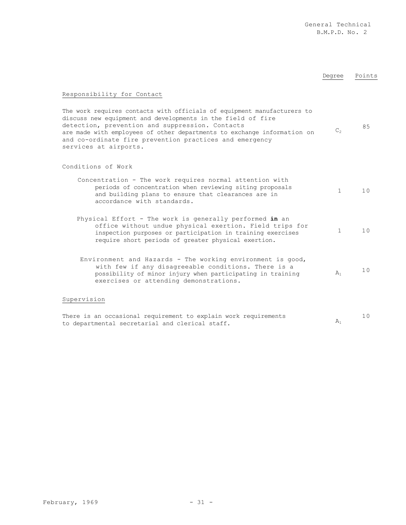## Degree Points

## Responsibility for Contact

| The work requires contacts with officials of equipment manufacturers to |         |    |
|-------------------------------------------------------------------------|---------|----|
| discuss new equipment and developments in the field of fire             |         |    |
| detection, prevention and suppression. Contacts                         |         | 85 |
| are made with employees of other departments to exchange information on | $C_{2}$ |    |
| and co-ordinate fire prevention practices and emergency                 |         |    |
| services at airports.                                                   |         |    |

### Conditions of Work

| Concentration - The work requires normal attention with<br>periods of concentration when reviewing siting proposals<br>and building plans to ensure that clearances are in<br>accordance with standards.                                |       | 10 |
|-----------------------------------------------------------------------------------------------------------------------------------------------------------------------------------------------------------------------------------------|-------|----|
| Physical Effort - The work is generally performed in an<br>office without undue physical exertion. Field trips for<br>inspection purposes or participation in training exercises<br>require short periods of greater physical exertion. |       | 10 |
| Environment and Hazards - The working environment is good,<br>with few if any disagreeable conditions. There is a<br>possibility of minor injury when participating in training<br>exercises or attending demonstrations.               | $A_1$ | 10 |
| ervision                                                                                                                                                                                                                                |       |    |

### Supervision

| There is an occasional requirement to explain work requirements |  |
|-----------------------------------------------------------------|--|
| to departmental secretarial and clerical staff.                 |  |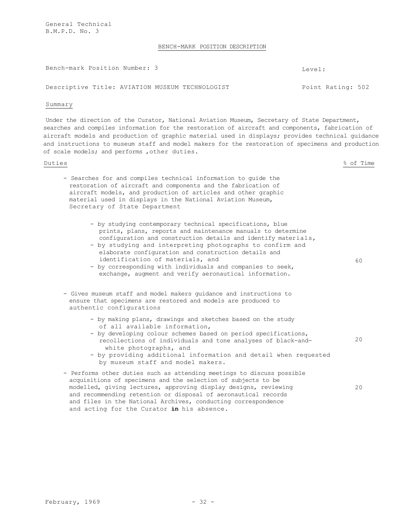General Technical B.M.P.D. No. 3

### BENCH-MARK POSITION DESCRIPTION

Bench-mark Position Number: 3 Level:

Descriptive Title: AVIATION MUSEUM TECHNOLOGIST Foint Rating: 502

### Summary

Under the direction of the Curator, National Aviation Museum, Secretary of State Department, searches and compiles information for the restoration of aircraft and components, fabrication of aircraft models and production of graphic material used in displays; provides technical guidance and instructions to museum staff and model makers for the restoration of specimens and production of scale models; and performs ,other duties.

Duties % of Time

- Searches for and compiles technical information to guide the restoration of aircraft and components and the fabrication of aircraft models, and production of articles and other graphic material used in displays in the National Aviation Museum, Secretary of State Department
	- by studying contemporary technical specifications, blue prints, plans, reports and maintenance manuals to determine configuration and construction details and identify materials,
	- by studying and interpreting photographs to confirm and elaborate configuration and construction details and identification of materials, and
	- by corresponding with individuals and companies to seek, exchange, augment and verify aeronautical information.
- Gives museum staff and model makers guidance and instructions to ensure that specimens are restored and models are produced to authentic configurations
	- by making plans, drawings and sketches based on the study of all available information,
	- by developing colour schemes based on period specifications, recollections of individuals and tone analyses of black-andwhite photographs, and 20
	- by providing additional information and detail when requested by museum staff and model makers.
- Performs other duties such as attending meetings to discuss possible acquisitions of specimens and the selection of subjects to be modelled, giving lectures, approving display designs, reviewing and recommending retention or disposal of aeronautical records and files in the National Archives, conducting correspondence and acting for the Curator **in** his absence. 20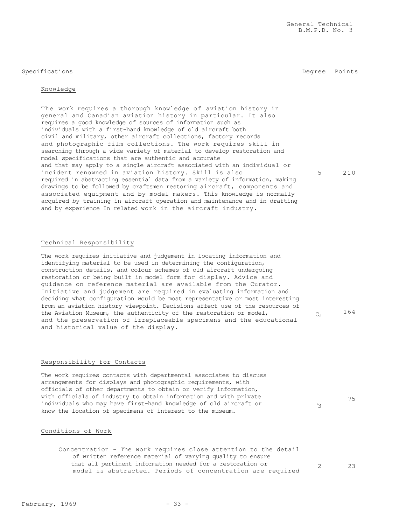### Specifications **Degree** Points **Degree** Points

5 210

 $C_2$  164

75

 $B_3$ 

The work requires contacts with departmental associates to discuss arrangements for displays and photographic requirements, with officials of other departments to obtain or verify information, with officials of industry to obtain information and with private individuals who may have first-hand knowledge of old aircraft or know the location of specimens of interest to the museum.

## Conditions of Work

Concentration - The work requires close attention to the detail of written reference material of varying quality to ensure that all pertinent information needed for a restoration or model is abstracted. Periods of concentration are required 2 23

## Technical Responsibility

The work requires initiative and judgement in locating information and identifying material to be used in determining the configuration, construction details, and colour schemes of old aircraft undergoing restoration or being built in model form for display. Advice and guidance on reference material are available from the Curator. Initiative and judgement are required in evaluating information and deciding what configuration would be most representative or most interesting from an aviation history viewpoint. Decisions affect use of the resources of the Aviation Museum, the authenticity of the restoration or model, and the preservation of irreplaceable specimens and the educational and historical value of the display.

Responsibility for Contacts

requires a good knowledge of sources of information such as individuals with a first-hand knowledge of old aircraft both civil and military, other aircraft collections, factory records and photographic film collections. The work requires skill in searching through a wide variety of material to develop restoration and model specifications that are authentic and accurate and that may apply to a single aircraft associated with an individual or incident renowned in aviation history. Skill is also required in abstracting essential data from a variety of information, making drawings to be followed by craftsmen restoring aircraft, components and associated equipment and by model makers. This knowledge is normally acquired by training in aircraft operation and maintenance and in drafting and by experience In related work in the aircraft industry.

The work requires a thorough knowledge of aviation history in general and Canadian aviation history in particular. It also

Knowledge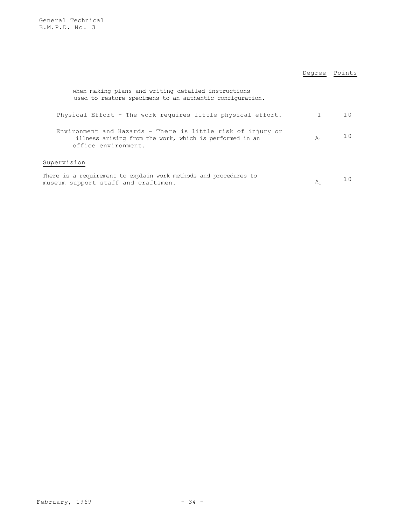General Technical B.M.P.D. No. 3

|                                                                                                                                               | Degree       | Points         |
|-----------------------------------------------------------------------------------------------------------------------------------------------|--------------|----------------|
| when making plans and writing detailed instructions<br>used to restore specimens to an authentic configuration.                               |              |                |
| Physical Effort - The work requires little physical effort.                                                                                   | $\mathbf{1}$ | 10             |
| Environment and Hazards - There is little risk of injury or<br>illness arising from the work, which is performed in an<br>office environment. | $A_1$        | 1 <sub>0</sub> |
| Supervision                                                                                                                                   |              |                |
| There is a requirement to explain work methods and procedures to<br>museum support staff and craftsmen.                                       | $A_1$        | 1 ∩            |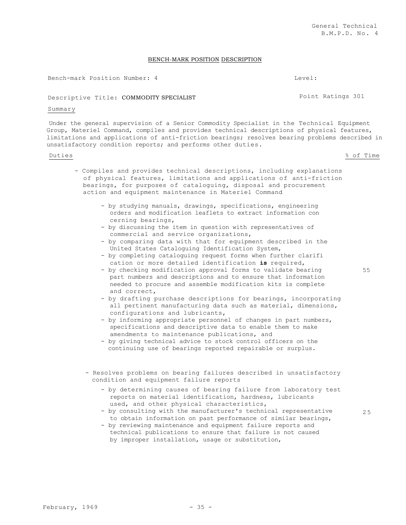### BENCH-MARK POSITION DESCRIPTION

Bench-mark Position Number: 4 Level:

Descriptive Title: COMMODITY SPECIALIST FOUND Point Ratings 301

### Summary

Under the general supervision of a Senior Commodity Specialist in the Technical Equipment Group, Materiel Command, compiles and provides technical descriptions of physical features, limitations and applications of anti-friction bearings; resolves bearing problems described in unsatisfactory condition reports; and performs other duties.

### Duties % of Time

- Compiles and provides technical descriptions, including explanations of physical features, limitations and applications of anti-friction bearings, for purposes of cataloguing, disposal and procurement action and equipment maintenance in Materiel Command
	- by studying manuals, drawings, specifications, engineering orders and modification leaflets to extract information con cerning bearings,
	- by discussing the item in question with representatives of commercial and service organizations,
	- by comparing data with that for equipment described in the United States Cataloguing Identification System,
	- by completing cataloguing request forms when further clarifi cation or more detailed identification **is** required,
	- by checking modification approval forms to validate bearing part numbers and descriptions and to ensure that information needed to procure and assemble modification kits is complete and correct,
	- by drafting purchase descriptions for bearings, incorporating all pertinent manufacturing data such as material, dimensions, configurations and lubricants,
	- by informing appropriate personnel of changes in part numbers, specifications and descriptive data to enable them to make amendments to maintenance publications, and
	- by giving technical advice to stock control officers on the continuing use of bearings reported repairable or surplus.
	- Resolves problems on bearing failures described in unsatisfactory condition and equipment failure reports
		- by determining causes of bearing failure from laboratory test reports on material identification, hardness, lubricants used, and other physical characteristics,
		- by consulting with the manufacturer's technical representative to obtain information on past performance of similar bearings,
		- by reviewing maintenance and equipment failure reports and technical publications to ensure that failure is not caused by improper installation, usage or substitution,

55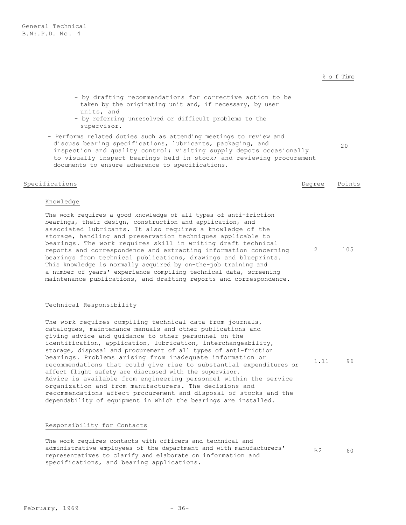### % o f Time

- by drafting recommendations for corrective action to be taken by the originating unit and, if necessary, by user units, and
- by referring unresolved or difficult problems to the supervisor.
- Performs related duties such as attending meetings to review and discuss bearing specifications, lubricants, packaging, and inspection and quality control; visiting supply depots occasionally to visually inspect bearings held in stock; and reviewing procurement documents to ensure adherence to specifications. 20

### Specifications Degree Points

### Knowledge

The work requires a good knowledge of all types of anti-friction bearings, their design, construction and application, and associated lubricants. It also requires a knowledge of the storage, handling and preservation techniques applicable to bearings. The work requires skill in writing draft technical reports and correspondence and extracting information concerning bearings from technical publications, drawings and blueprints. This knowledge is normally acquired by on-the-job training and a number of years' experience compiling technical data, screening maintenance publications, and drafting reports and correspondence. 2 105

### Technical Responsibility

The work requires compiling technical data from journals, catalogues, maintenance manuals and other publications and giving advice and guidance to other personnel on the identification, application, lubrication, interchangeability, storage, disposal and procurement of all types of anti-friction bearings. Problems arising from inadequate information or recommendations that could give rise to substantial expenditures or affect flight safety are discussed with the supervisor. Advice is available from engineering personnel within the service organization and from manufacturers. The decisions and recommendations affect procurement and disposal of stocks and the dependability of equipment in which the bearings are installed. 1.11 96

### Responsibility for Contacts

The work requires contacts with officers and technical and administrative employees of the department and with manufacturers' representatives to clarify and elaborate on information and specifications, and bearing applications.

B2 60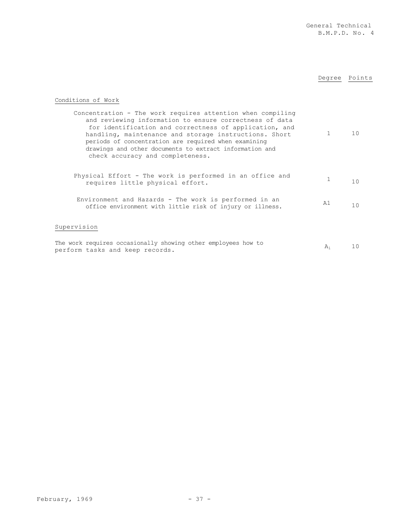## Degree Points

## Conditions of Work

| Concentration - The work requires attention when compiling<br>and reviewing information to ensure correctness of data<br>for identification and correctness of application, and<br>handling, maintenance and storage instructions. Short<br>periods of concentration are required when examining<br>drawings and other documents to extract information and<br>check accuracy and completeness. |    | 10 |
|-------------------------------------------------------------------------------------------------------------------------------------------------------------------------------------------------------------------------------------------------------------------------------------------------------------------------------------------------------------------------------------------------|----|----|
| Physical Effort - The work is performed in an office and<br>requires little physical effort.                                                                                                                                                                                                                                                                                                    | 1  | 10 |
| Environment and Hazards - The work is performed in an<br>office environment with little risk of injury or illness.                                                                                                                                                                                                                                                                              | A1 | 10 |
| Supervision                                                                                                                                                                                                                                                                                                                                                                                     |    |    |
| The work requires occasionally showing other employees how to<br>perform tasks and keep records.                                                                                                                                                                                                                                                                                                | A۱ |    |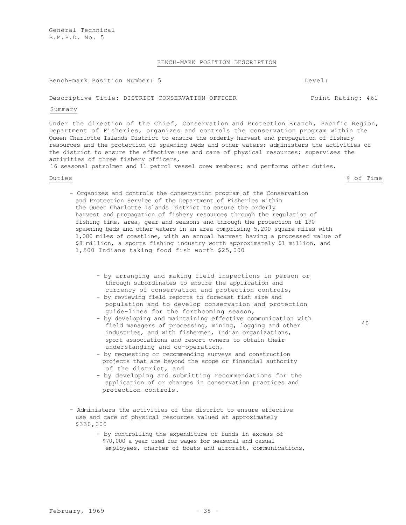### BENCH-MARK POSITION DESCRIPTION

### Bench-mark Position Number: 5 Level:

### Descriptive Title: DISTRICT CONSERVATION OFFICER FOINT Rating: 461

### Summary

Under the direction of the Chief, Conservation and Protection Branch, Pacific Region, Department of Fisheries, organizes and controls the conservation program within the Queen Charlotte Islands District to ensure the orderly harvest and propagation of fishery resources and the protection of spawning beds and other waters; administers the activities of the district to ensure the effective use and care of physical resources; supervises the activities of three fishery officers,

16 seasonal patrolmen and 11 patrol vessel crew members; and performs other duties.

Duties % of Time

- Organizes and controls the conservation program of the Conservation and Protection Service of the Department of Fisheries within the Queen Charlotte Islands District to ensure the orderly harvest and propagation of fishery resources through the regulation of fishing time, area, gear and seasons and through the protection of 190 spawning beds and other waters in an area comprising 5,200 square miles with 1,000 miles of coastline, with an annual harvest having a processed value of \$8 million, a sports fishing industry worth approximately \$1 million, and 1,500 Indians taking food fish worth \$25,000
	- by arranging and making field inspections in person or through subordinates to ensure the application and currency of conservation and protection controls,
	- by reviewing field reports to forecast fish size and population and to develop conservation and protection guide-lines for the forthcoming season,
	- by developing and maintaining effective communication with field managers of processing, mining, logging and other industries, and with fishermen, Indian organizations, sport associations and resort owners to obtain their understanding and co-operation,
	- by requesting or recommending surveys and construction projects that are beyond the scope or financial authority of the district, and
	- by developing and submitting recommendations for the application of or changes in conservation practices and protection controls.
- Administers the activities of the district to ensure effective use and care of physical resources valued at approximately \$330,000
	- by controlling the expenditure of funds in excess of \$70,000 a year used for wages for seasonal and casual employees, charter of boats and aircraft, communications,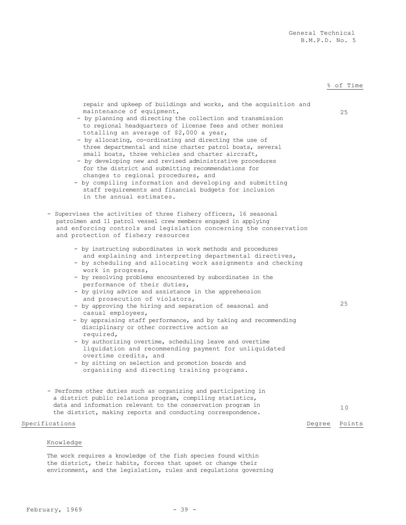### % of Time

| repair and upkeep of buildings and works, and the acquisition and<br>maintenance of equipment,<br>- by planning and directing the collection and transmission<br>to regional headquarters of license fees and other monies<br>totalling an average of \$2,000 a year,<br>- by allocating, co-ordinating and directing the use of<br>three departmental and nine charter patrol boats, several<br>small boats, three vehicles and charter aircraft,<br>- by developing new and revised administrative procedures<br>for the district and submitting recommendations for<br>changes to regional procedures, and<br>- by compiling information and developing and submitting<br>staff requirements and financial budgets for inclusion<br>in the annual estimates.                                                                                                           |        | 25              |
|---------------------------------------------------------------------------------------------------------------------------------------------------------------------------------------------------------------------------------------------------------------------------------------------------------------------------------------------------------------------------------------------------------------------------------------------------------------------------------------------------------------------------------------------------------------------------------------------------------------------------------------------------------------------------------------------------------------------------------------------------------------------------------------------------------------------------------------------------------------------------|--------|-----------------|
| - Supervises the activities of three fishery officers, 16 seasonal<br>patrolmen and 11 patrol vessel crew members engaged in applying<br>and enforcing controls and legislation concerning the conservation<br>and protection of fishery resources                                                                                                                                                                                                                                                                                                                                                                                                                                                                                                                                                                                                                        |        |                 |
| - by instructing subordinates in work methods and procedures<br>and explaining and interpreting departmental directives,<br>- by scheduling and allocating work assignments and checking<br>work in progress,<br>- by resolving problems encountered by subordinates in the<br>performance of their duties,<br>- by giving advice and assistance in the apprehension<br>and prosecution of violators,<br>- by approving the hiring and separation of seasonal and<br>casual employees,<br>- by appraising staff performance, and by taking and recommending<br>disciplinary or other corrective action as<br>required,<br>- by authorizing overtime, scheduling leave and overtime<br>liquidation and recommending payment for unliquidated<br>overtime credits, and<br>- by sitting on selection and promotion boards and<br>organizing and directing training programs. |        | 25              |
| - Performs other duties such as organizing and participating in<br>a district public relations program, compiling statistics,<br>data and information relevant to the conservation program in<br>the district, making reports and conducting correspondence.                                                                                                                                                                                                                                                                                                                                                                                                                                                                                                                                                                                                              |        | 10 <sup>°</sup> |
| Specifications                                                                                                                                                                                                                                                                                                                                                                                                                                                                                                                                                                                                                                                                                                                                                                                                                                                            | Degree | Points          |
|                                                                                                                                                                                                                                                                                                                                                                                                                                                                                                                                                                                                                                                                                                                                                                                                                                                                           |        |                 |

### Knowledge

The work requires a knowledge of the fish species found within the district, their habits, forces that upset or change their environment, and the legislation, rules and regulations governing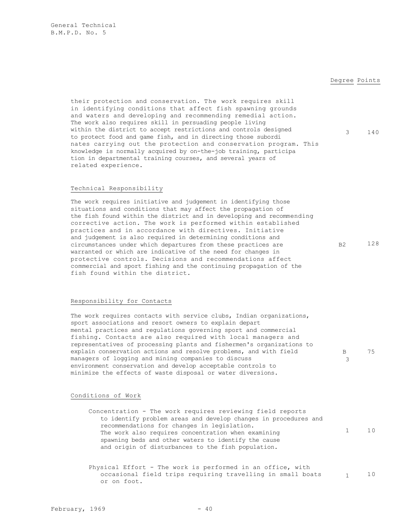### Degree Points

B 3 75

their protection and conservation. The work requires skill in identifying conditions that affect fish spawning grounds and waters and developing and recommending remedial action. The work also requires skill in persuading people living within the district to accept restrictions and controls designed to protect food and game fish, and in directing those subordi nates carrying out the protection and conservation program. This knowledge is normally acquired by on-the-job training, participa tion in departmental training courses, and several years of related experience. 3 140

### Technical Responsibility

The work requires initiative and judgement in identifying those situations and conditions that may affect the propagation of the fish found within the district and in developing and recommending corrective action. The work is performed within established practices and in accordance with directives. Initiative and judgement is also required in determining conditions and circumstances under which departures from these practices are warranted or which are indicative of the need for changes in protective controls. Decisions and recommendations affect commercial and sport fishing and the continuing propagation of the fish found within the district. B2 128

### Responsibility for Contacts

The work requires contacts with service clubs, Indian organizations, sport associations and resort owners to explain depart mental practices and regulations governing sport and commercial fishing. Contacts are also required with local managers and representatives of processing plants and fishermen's organizations to explain conservation actions and resolve problems, and with field managers of logging and mining companies to discuss environment conservation and develop acceptable controls to minimize the effects of waste disposal or water diversions.

### Conditions of Work

| Concentration - The work requires reviewing field reports       |                        |    |
|-----------------------------------------------------------------|------------------------|----|
| to identify problem areas and develop changes in procedures and |                        |    |
| recommendations for changes in legislation.                     |                        |    |
| The work also requires concentration when examining             | $1 \quad \blacksquare$ | 10 |
| spawning beds and other waters to identify the cause            |                        |    |
| and origin of disturbances to the fish population.              |                        |    |

Physical Effort - The work is performed in an office, with occasional field trips requiring travelling in small boats  $\qquad \qquad 1$  10 or on foot.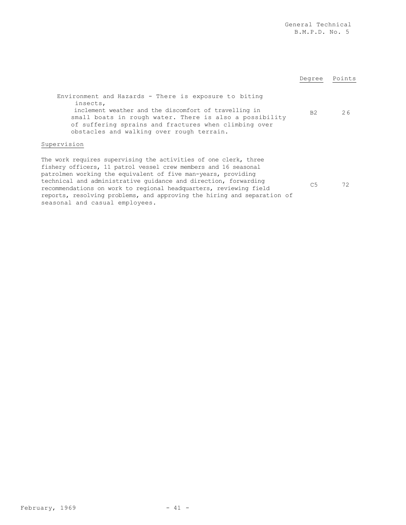General Technical B.M.P.D. No. 5 Degree Points Environment and Hazards - There is exposure to biting insects, inclement weather and the discomfort of travelling in small boats in rough water. There is also a possibility of suffering sprains and fractures when climbing over obstacles and walking over rough terrain. B2 26 Supervision The work requires supervising the activities of one clerk, three fishery officers, 11 patrol vessel crew members and 16 seasonal patrolmen working the equivalent of five man-years, providing technical and administrative guidance and direction, forwarding recommendations on work to regional headquarters, reviewing field reports, resolving problems, and approving the hiring and separation of seasonal and casual employees. C5 72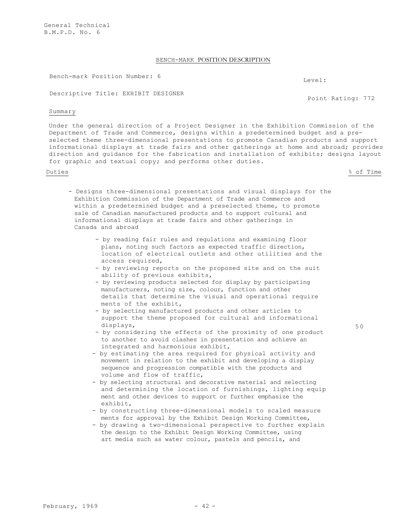General Technical B.M.P.D. No. 6

### BENCH-MARK POSITION DESCRIPTION

Bench-mark Position Number: 6 Level:

Descriptive Title: EXHIBIT DESIGNER

### Summary

Under the general direction of a Project Designer in the Exhibition Commission of the Department of Trade and Commerce, designs within a predetermined budget and a preselected theme three-dimensional presentations to promote Canadian products and support informational displays at trade fairs and other gatherings at home and abroad; provides direction and guidance for the fabrication and installation of exhibits; designs layout for graphic and textual copy; and performs other duties.

Duties % of Time

- Designs three-dimensional presentations and visual displays for the Exhibition Commission of the Department of Trade and Commerce and within a predetermined budget and a preselected theme, to promote sale of Canadian manufactured products and to support cultural and informational displays at trade fairs and other gatherings in Canada and abroad
	- by reading fair rules and regulations and examining floor plans, noting such factors as expected traffic direction, location of electrical outlets and other utilities and the access required,
	- by reviewing reports on the proposed site and on the suit ability of previous exhibits,
	- by reviewing products selected for display by participating manufacturers, noting size, colour, function and other details that determine the visual and operational require ments of the exhibit,
	- by selecting manufactured products and other articles to support the theme proposed for cultural and informational displays,
	- by considering the effects of the proximity of one product to another to avoid clashes in presentation and achieve an integrated and harmonious exhibit,
	- by estimating the area required for physical activity and movement in relation to the exhibit and developing a display sequence and progression compatible with the products and volume and flow of traffic,
	- by selecting structural and decorative material and selecting and determining the location of furnishings, lighting equip ment and other devices to support or further emphasize the exhibit,
	- by constructing three-dimensional models to scaled measure ments for approval by the Exhibit Design Working Committee,
	- by drawing a two-dimensional perspective to further explain the design to the Exhibit Design Working Committee, using art media such as water colour, pastels and pencils, and

Point Rating: 772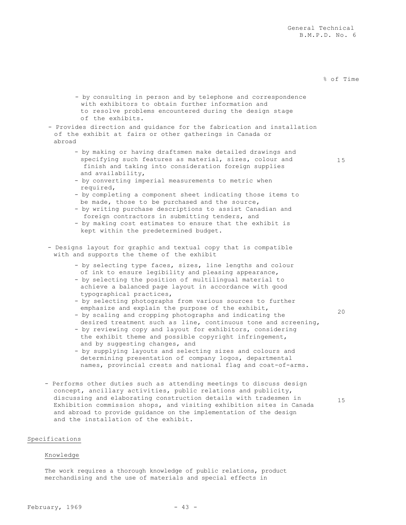### % of Time

15

20

15

- by consulting in person and by telephone and correspondence with exhibitors to obtain further information and to resolve problems encountered during the design stage of the exhibits.
- Provides direction and guidance for the fabrication and installation of the exhibit at fairs or other gatherings in Canada or abroad
	- by making or having draftsmen make detailed drawings and specifying such features as material, sizes, colour and finish and taking into consideration foreign supplies and availability,
	- by converting imperial measurements to metric when required,
	- by completing a component sheet indicating those items to be made, those to be purchased and the source,
	- by writing purchase descriptions to assist Canadian and foreign contractors in submitting tenders, and
	- by making cost estimates to ensure that the exhibit is kept within the predetermined budget.
- Designs layout for graphic and textual copy that is compatible with and supports the theme of the exhibit
	- by selecting type faces, sizes, line lengths and colour of ink to ensure legibility and pleasing appearance,
	- by selecting the position of multilingual material to achieve a balanced page layout in accordance with good typographical practices,
	- by selecting photographs from various sources to further emphasize and explain the purpose of the exhibit,
	- by scaling and cropping photographs and indicating the desired treatment such as line, continuous tone and screening,
	- by reviewing copy and layout for exhibitors, considering the exhibit theme and possible copyright infringement, and by suggesting changes, and
	- by supplying layouts and selecting sizes and colours and determining presentation of company logos, departmental names, provincial crests and national flag and coat-of-arms.
- Performs other duties such as attending meetings to discuss design concept, ancillary activities, public relations and publicity, discussing and elaborating construction details with tradesmen in Exhibition commission shops, and visiting exhibition sites in Canada and abroad to provide guidance on the implementation of the design and the installation of the exhibit.

### Specifications

### Knowledge

The work requires a thorough knowledge of public relations, product merchandising and the use of materials and special effects in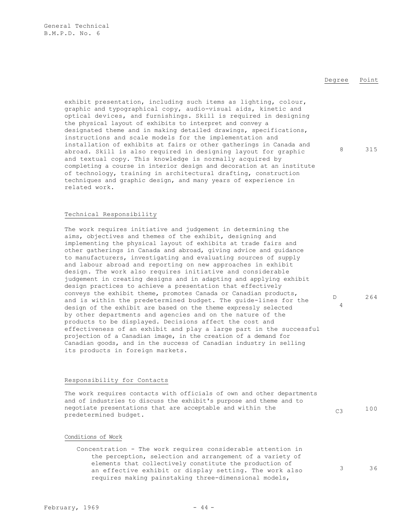### Degree Point

exhibit presentation, including such items as lighting, colour, graphic and typographical copy, audio-visual aids, kinetic and optical devices, and furnishings. Skill is required in designing the physical layout of exhibits to interpret and convey a designated theme and in making detailed drawings, specifications, instructions and scale models for the implementation and installation of exhibits at fairs or other gatherings in Canada and abroad. Skill is also required in designing layout for graphic and textual copy. This knowledge is normally acquired by completing a course in interior design and decoration at an institute of technology, training in architectural drafting, construction techniques and graphic design, and many years of experience in related work.

### Technical Responsibility

The work requires initiative and judgement in determining the aims, objectives and themes of the exhibit, designing and implementing the physical layout of exhibits at trade fairs and other gatherings in Canada and abroad, giving advice and guidance to manufacturers, investigating and evaluating sources of supply and labour abroad and reporting on new approaches in exhibit design. The work also requires initiative and considerable judgement in creating designs and in adapting and applying exhibit design practices to achieve a presentation that effectively conveys the exhibit theme, promotes Canada or Canadian products, and is within the predetermined budget. The guide-lines for the design of the exhibit are based on the theme expressly selected by other departments and agencies and on the nature of the products to be displayed. Decisions affect the cost and effectiveness of an exhibit and play a large part in the successful projection of a Canadian image, in the creation of a demand for Canadian goods, and in the success of Canadian industry in selling its products in foreign markets. D

### Responsibility for Contacts

The work requires contacts with officials of own and other departments and of industries to discuss the exhibit's purpose and theme and to negotiate presentations that are acceptable and within the  $_{C3}$  (3  $_{\rm 100}$ 

### Conditions of Work

Concentration - The work requires considerable attention in the perception, selection and arrangement of a variety of elements that collectively constitute the production of an effective exhibit or display setting. The work also requires making painstaking three-dimensional models,

8 315

264

4

 $February, 1969$  - 44 -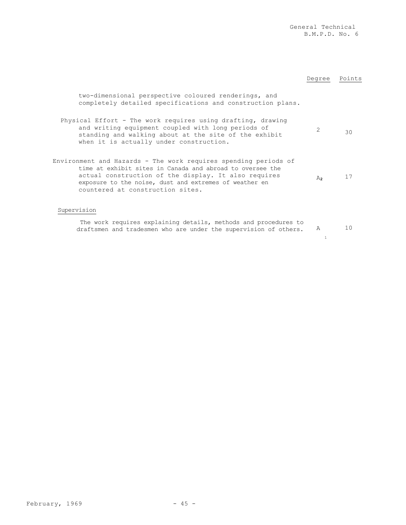|                                                                                                                                                                                                                                                                                    | Degree            | Points |
|------------------------------------------------------------------------------------------------------------------------------------------------------------------------------------------------------------------------------------------------------------------------------------|-------------------|--------|
| two-dimensional perspective coloured renderings, and<br>completely detailed specifications and construction plans.                                                                                                                                                                 |                   |        |
| Physical Effort - The work requires using drafting, drawing<br>and writing equipment coupled with long periods of<br>standing and walking about at the site of the exhibit<br>when it is actually under construction.                                                              | $\mathcal{L}$     | 30     |
| Environment and Hazards - The work requires spending periods of<br>time at exhibit sites in Canada and abroad to oversee the<br>actual construction of the display. It also requires<br>exposure to the noise, dust and extremes of weather en<br>countered at construction sites. | $A_{2}$           | 17     |
| Supervision<br>The work requires explaining details, methods and procedures to<br>draftsmen and tradesmen who are under the supervision of others.                                                                                                                                 | A<br>$\mathbf{1}$ | 10     |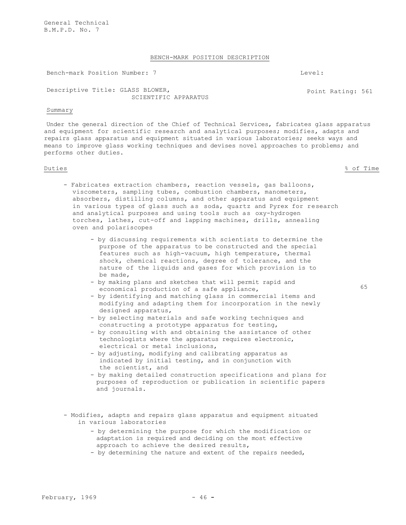General Technical B.M.P.D. No. 7

### BENCH-MARK POSITION DESCRIPTION

Bench-mark Position Number: 7 Level:

Descriptive Title: GLASS BLOWER, SCIENTIFIC APPARATUS

### Summary

Under the general direction of the Chief of Technical Services, fabricates glass apparatus and equipment for scientific research and analytical purposes; modifies, adapts and repairs glass apparatus and equipment situated in various laboratories; seeks ways and means to improve glass working techniques and devises novel approaches to problems; and performs other duties.

Duties % of Time

- Fabricates extraction chambers, reaction vessels, gas balloons, viscometers, sampling tubes, combustion chambers, manometers, absorbers, distilling columns, and other apparatus and equipment in various types of glass such as soda, quartz and Pyrex for research and analytical purposes and using tools such as oxy-hydrogen torches, lathes, cut-off and lapping machines, drills, annealing oven and polariscopes
	- by discussing requirements with scientists to determine the purpose of the apparatus to be constructed and the special features such as high-vacuum, high temperature, thermal shock, chemical reactions, degree of tolerance, and the nature of the liquids and gases for which provision is to be made,
	- by making plans and sketches that will permit rapid and economical production of a safe appliance,
	- by identifying and matching glass in commercial items and modifying and adapting them for incorporation in the newly designed apparatus,
	- by selecting materials and safe working techniques and constructing a prototype apparatus for testing,
	- by consulting with and obtaining the assistance of other technologists where the apparatus requires electronic, electrical or metal inclusions,
	- by adjusting, modifying and calibrating apparatus as indicated by initial testing, and in conjunction with the scientist, and
	- by making detailed construction specifications and plans for purposes of reproduction or publication in scientific papers and journals.
- Modifies, adapts and repairs glass apparatus and equipment situated in various laboratories
	- by determining the purpose for which the modification or adaptation is required and deciding on the most effective approach to achieve the desired results,
	- by determining the nature and extent of the repairs needed,

Point Rating: 561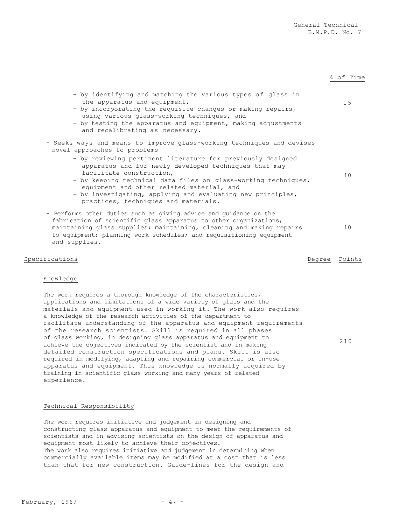% of Time

| - by identifying and matching the various types of glass in<br>the apparatus and equipment,<br>- by incorporating the requisite changes or making repairs,<br>using various glass-working techniques, and<br>- by testing the apparatus and equipment, making adjustments<br>and recalibrating as necessary.                                                           | 15 |
|------------------------------------------------------------------------------------------------------------------------------------------------------------------------------------------------------------------------------------------------------------------------------------------------------------------------------------------------------------------------|----|
| - Seeks ways and means to improve glass-working techniques and devises<br>novel approaches to problems                                                                                                                                                                                                                                                                 |    |
| - by reviewing pertinent literature for previously designed<br>apparatus and for newly developed techniques that may<br>facilitate construction,<br>- by keeping technical data files on glass-working techniques,<br>equipment and other related material, and<br>- by investigating, applying and evaluating new principles,<br>practices, techniques and materials. | 10 |
| - Performs other duties such as giving advice and guidance on the<br>fabrication of scientific glass apparatus to other organizations;<br>maintaining glass supplies; maintaining, cleaning and making repairs<br>to equipment; planning work schedules; and requisitioning equipment<br>and supplies.                                                                 | 10 |

### Specifications **Degree** Points

210

### Knowledge

The work requires a thorough knowledge of the characteristics, applications and limitations of a wide variety of glass and the materials and equipment used in working it. The work also requires a knowledge of the research activities of the department to facilitate understanding of the apparatus and equipment requirements of the research scientists. Skill is required in all phases of glass working, in designing glass apparatus and equipment to achieve the objectives indicated by the scientist and in making detailed construction specifications and plans. Skill is also required in modifying, adapting and repairing commercial or in-use apparatus and equipment. This knowledge is normally acquired by training in scientific glass working and many years of related experience.

### Technical Responsibility

The work requires initiative and judgement in designing and constructing glass apparatus and equipment to meet the requirements of scientists and in advising scientists on the design of apparatus and equipment most likely to achieve their objectives. The work also requires initiative and judgement in determining when commercially available items may be modified at a cost that is less than that for new construction. Guide-lines for the design and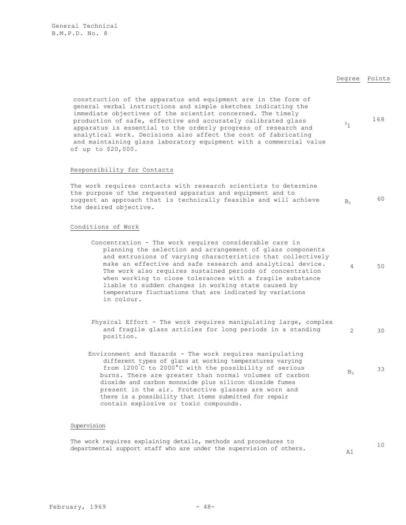### Degree Points

168

4 50

 $\mathbb{P}_1$ 

construction of the apparatus and equipment are in the form of general verbal instructions and simple sketches indicating the immediate objectives of the scientist concerned. The timely production of safe, effective and accurately calibrated glass apparatus is essential to the orderly progress of research and analytical work. Decisions also affect the cost of fabricating and maintaining glass laboratory equipment with a commercial value of up to \$20,000.

### Responsibility for Contacts

The work requires contacts with research scientists to determine the purpose of the requested apparatus and equipment and to suggest an approach that is technically feasible and will achieve the desired objective.  $B<sub>2</sub>$  60

### Conditions of Work

- Concentration The work requires considerable care in planning the selection and arrangement of glass components and extrusions of varying characteristics that collectively make an effective and safe research and analytical device. The work also requires sustained periods of concentration when working to close tolerances with a fragile substance liable to sudden changes in working state caused by temperature fluctuations that are indicated by variations in colour.
- Physical Effort The work requires manipulating large, complex and fragile glass articles for long periods in a standing position. 2 30
- Environment and Hazards The work requires manipulating different types of glass at working temperatures varying from 1200° C to 2000°C with the possibility of serious burns. There are greater than normal volumes of carbon dioxide and carbon monoxide plus silicon dioxide fumes present in the air. Protective glasses are worn and there is a possibility that items submitted for repair contain explosive or toxic compounds.  $B<sub>3</sub>$  33

### Supervision

The work requires explaining details, methods and procedures to departmental support staff who are under the supervision of others.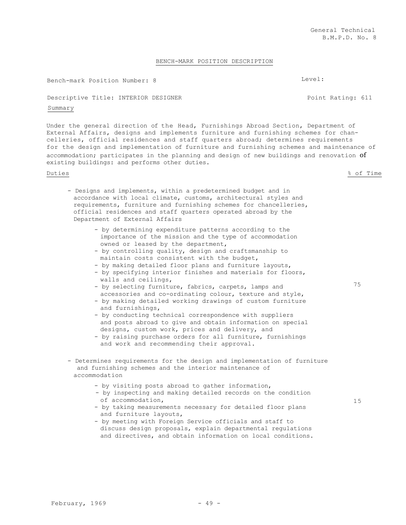### BENCH-MARK POSITION DESCRIPTION

Bench-mark Position Number: 8 Level:

### Descriptive Title: INTERIOR DESIGNER POINT Point Rating: 611

### Summary

Under the general direction of the Head, Furnishings Abroad Section, Department of External Affairs, designs and implements furniture and furnishing schemes for chancelleries, official residences and staff quarters abroad; determines requirements for the design and implementation of furniture and furnishing schemes and maintenance of accommodation; participates in the planning and design of new buildings and renovation of existing buildings: and performs other duties.

### Duties % of Time

- Designs and implements, within a predetermined budget and in accordance with local climate, customs, architectural styles and requirements, furniture and furnishing schemes for chancelleries, official residences and staff quarters operated abroad by the Department of External Affairs
	- by determining expenditure patterns according to the importance of the mission and the type of accommodation owned or leased by the department,
	- by controlling quality, design and craftsmanship to maintain costs consistent with the budget,
	- by making detailed floor plans and furniture layouts,
	- by specifying interior finishes and materials for floors, walls and ceilings,
	- by selecting furniture, fabrics, carpets, lamps and accessories and co-ordinating colour, texture and style,
	- by making detailed working drawings of custom furniture and furnishings,
	- by conducting technical correspondence with suppliers and posts abroad to give and obtain information on special designs, custom work, prices and delivery, and
	- by raising purchase orders for all furniture, furnishings and work and recommending their approval.
- Determines requirements for the design and implementation of furniture and furnishing schemes and the interior maintenance of accommodation
	- by visiting posts abroad to gather information,
	- by inspecting and making detailed records on the condition of accommodation,
	- by taking measurements necessary for detailed floor plans and furniture layouts,
	- by meeting with Foreign Service officials and staff to discuss design proposals, explain departmental regulations and directives, and obtain information on local conditions.

75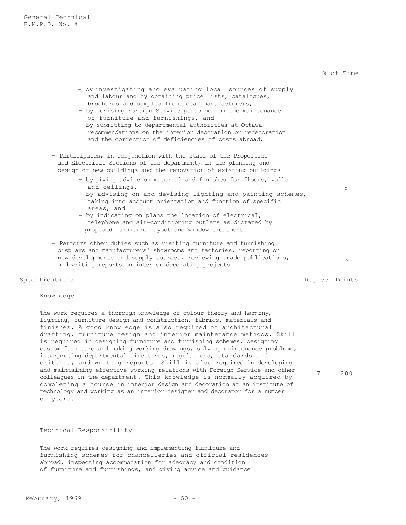### % of Time

5

- by investigating and evaluating local sources of supply and labour and by obtaining price lists, catalogues, brochures and samples from local manufacturers,
- by advising Foreign Service personnel on the maintenance of furniture and furnishings, and
- by submitting to departmental authorities at Ottawa recommendations on the interior decoration or redecoration and the correction of deficiencies of posts abroad.
- Participates, in conjunction with the staff of the Properties and Electrical Sections of the department, in the planning and design of new buildings and the renovation of existing buildings
	- by giving advice on material and finishes for floors, walls and ceilings,
	- by advising on and devising lighting and painting schemes, taking into account orientation and function of specific areas, and
	- by indicating on plans the location of electrical, telephone and air-conditioning outlets as dictated by proposed furniture layout and window treatment.
- Performs other duties such as visiting furniture and furnishing displays and manufacturers' showrooms and factories, reporting on new developments and supply sources, reviewing trade publications, new developments and supply sources, reviewing trade publications,<br>and writing reports on interior decorating projects.

### Specifications **Degree** Points **Degree** Points **Degree** Points

7 280

### Knowledge

The work requires a thorough knowledge of colour theory and harmony, lighting, furniture design and construction, fabrics, materials and finishes. A good knowledge is also required of architectural drafting, furniture design and interior maintenance methods. Skill is required in designing furniture and furnishing schemes, designing custom furniture and making working drawings, solving maintenance problems, interpreting departmental directives, regulations, standards and criteria, and writing reports. Skill is also required in developing and maintaining effective working relations with Foreign Service and other colleagues in the department. This knowledge is normally acquired by completing a course in interior design and decoration at an institute of technology and working as an interior designer and decorator for a number of years.

### Technical Responsibility

The work requires designing and implementing furniture and furnishing schemes for chancelleries and official residences abroad, inspecting accommodation for adequacy and condition of furniture and furnishings, and giving advice and guidance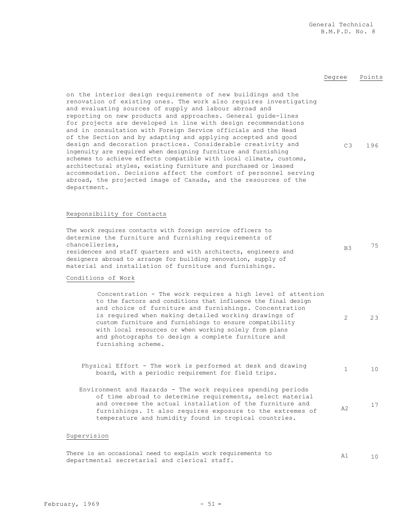### Degree Points

on the interior design requirements of new buildings and the renovation of existing ones. The work also requires investigating and evaluating sources of supply and labour abroad and reporting on new products and approaches. General guide-lines for projects are developed in line with design recommendations and in consultation with Foreign Service officials and the Head of the Section and by adapting and applying accepted and good design and decoration practices. Considerable creativity and ingenuity are required when designing furniture and furnishing schemes to achieve effects compatible with local climate, customs, architectural styles, existing furniture and purchased or leased accommodation. Decisions affect the comfort of personnel serving abroad, the projected image of Canada, and the resources of the department. C3 196

### Responsibility for Contacts

| The work requires contacts with foreign service officers to      |                |    |
|------------------------------------------------------------------|----------------|----|
| determine the furniture and furnishing requirements of           |                |    |
| chancelleries,                                                   | B <sub>3</sub> | 75 |
| residences and staff quarters and with architects, engineers and |                |    |
| designers abroad to arrange for building renovation, supply of   |                |    |
| material and installation of furniture and furnishings.          |                |    |
|                                                                  |                |    |

### Conditions of Work

Concentration - The work requires a high level of attention to the factors and conditions that influence the final design and choice of furniture and furnishings. Concentration is required when making detailed working drawings of custom furniture and furnishings to ensure compatibility with local resources or when working solely from plans and photographs to design a complete furniture and furnishing scheme. 2 2 3

| Physical Effort - The work is performed at desk and drawing |  |                                                     |  |  |  |  |
|-------------------------------------------------------------|--|-----------------------------------------------------|--|--|--|--|
|                                                             |  | board, with a periodic requirement for field trips. |  |  |  |  |

Environment and Hazards - The work requires spending periods of time abroad to determine requirements, select material and oversee the actual installation of the furniture and furnishings. It also requires exposure to the extremes of temperature and humidity found in tropical countries. A2 <sup>17</sup>

### Supervision

|                                              | There is an occasional need to explain work requirements to | 10 |
|----------------------------------------------|-------------------------------------------------------------|----|
| departmental secretarial and clerical staff. |                                                             |    |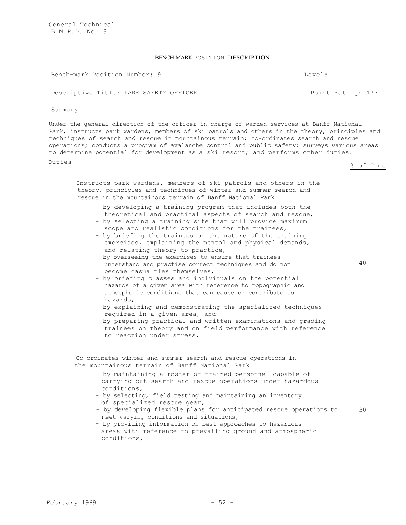General Technical B.M.P.D. No. 9

### BENCH-MARK POSITION DESCRIPTION

Bench-mark Position Number: 9 Level:

Descriptive Title: PARK SAFETY OFFICER POINT Rating: 477

Summary

Under the general direction of the officer-in-charge of warden services at Banff National Park, instructs park wardens, members of ski patrols and others in the theory, principles and techniques of search and rescue in mountainous terrain; co-ordinates search and rescue operations; conducts a program of avalanche control and public safety; surveys various areas to determine potential for development as a ski resort; and performs other duties.

<u>Duties</u> & of Time

- Instructs park wardens, members of ski patrols and others in the theory, principles and techniques of winter and summer search and rescue in the mountainous terrain of Banff National Park
	- by developing a training program that includes both the theoretical and practical aspects of search and rescue,
	- by selecting a training site that will provide maximum scope and realistic conditions for the trainees,
	- by briefing the trainees on the nature of the training exercises, explaining the mental and physical demands, and relating theory to practice,
	- by overseeing the exercises to ensure that trainees understand and practise correct techniques and do not become casualties themselves,
	- by briefing classes and individuals on the potential hazards of a given area with reference to topographic and atmospheric conditions that can cause or contribute to hazards,
	- by explaining and demonstrating the specialized techniques required in a given area, and
	- by preparing practical and written examinations and grading trainees on theory and on field performance with reference to reaction under stress.
- Co-ordinates winter and summer search and rescue operations in the mountainous terrain of Banff National Park
	- by maintaining a roster of trained personnel capable of carrying out search and rescue operations under hazardous conditions,
	- by selecting, field testing and maintaining an inventory of specialized rescue gear,
	- by developing flexible plans for anticipated rescue operations to meet varying conditions and situations, 30
	- by providing information on best approaches to hazardous areas with reference to prevailing ground and atmospheric conditions,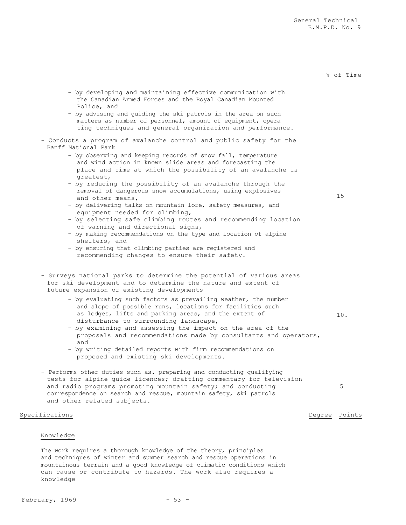### % of Time

Police, and - by advising and guiding the ski patrols in the area on such matters as number of personnel, amount of equipment, opera ting techniques and general organization and performance. - Conducts a program of avalanche control and public safety for the Banff National Park - by observing and keeping records of snow fall, temperature and wind action in known slide areas and forecasting the place and time at which the possibility of an avalanche is greatest, - by reducing the possibility of an avalanche through the removal of dangerous snow accumulations, using explosives and other means, - by delivering talks on mountain lore, safety measures, and equipment needed for climbing, - by selecting safe climbing routes and recommending location of warning and directional signs, - by making recommendations on the type and location of alpine shelters, and - by ensuring that climbing parties are registered and recommending changes to ensure their safety. 15 - Surveys national parks to determine the potential of various areas for ski development and to determine the nature and extent of future expansion of existing developments - by evaluating such factors as prevailing weather, the number and slope of possible runs, locations for facilities such as lodges, lifts and parking areas, and the extent of disturbance to surrounding landscape, - by examining and assessing the impact on the area of the proposals and recommendations made by consultants and operators, and - by writing detailed reports with firm recommendations on proposed and existing ski developments. 10. - Performs other duties such as. preparing and conducting qualifying tests for alpine guide licences; drafting commentary for television and radio programs promoting mountain safety; and conducting correspondence on search and rescue, mountain safety, ski patrols and other related subjects. 5 Specifications **Degree** Points **Degree** Points **Degree** Points Knowledge

- by developing and maintaining effective communication with the Canadian Armed Forces and the Royal Canadian Mounted

The work requires a thorough knowledge of the theory, principles and techniques of winter and summer search and rescue operations in mountainous terrain and a good knowledge of climatic conditions which can cause or contribute to hazards. The work also requires a knowledge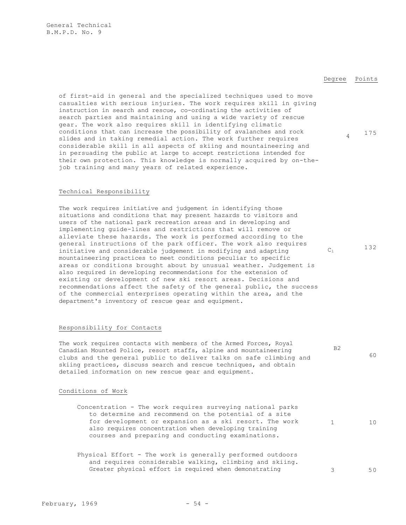### Degree Points

B2

 $60$ 

of first-aid in general and the specialized techniques used to move casualties with serious injuries. The work requires skill in giving instruction in search and rescue, co-ordinating the activities of search parties and maintaining and using a wide variety of rescue gear. The work also requires skill in identifying climatic conditions that can increase the possibility of avalanches and rock slides and in taking remedial action. The work further requires considerable skill in all aspects of skiing and mountaineering and in persuading the public at large to accept restrictions intended for their own protection. This knowledge is normally acquired by on-thejob training and many years of related experience. <sup>4</sup> <sup>175</sup>

### Technical Responsibility

The work requires initiative and judgement in identifying those situations and conditions that may present hazards to visitors and users of the national park recreation areas and in developing and implementing guide-lines and restrictions that will remove or alleviate these hazards. The work is performed according to the general instructions of the park officer. The work also requires initiative and considerable judgement in modifying and adapting mountaineering practices to meet conditions peculiar to specific areas or conditions brought about by unusual weather. Judgement is also required in developing recommendations for the extension of existing or development of new ski resort areas. Decisions and recommendations affect the safety of the general public, the success of the commercial enterprises operating within the area, and the department's inventory of rescue gear and equipment.  $C_1$  132

### Responsibility for Contacts

The work requires contacts with members of the Armed Forces, Royal Canadian Mounted Police, resort staffs, alpine and mountaineering clubs and the general public to deliver talks on safe climbing and skiing practices, discuss search and rescue techniques, and obtain detailed information on new rescue gear and equipment.

### Conditions of Work

- Concentration The work requires surveying national parks to determine and recommend on the potential of a site for development or expansion as a ski resort. The work also requires concentration when developing training courses and preparing and conducting examinations. 1 10
- Physical Effort The work is generally performed outdoors and requires considerable walking, climbing and skiing. Greater physical effort is required when demonstrating 3 50 50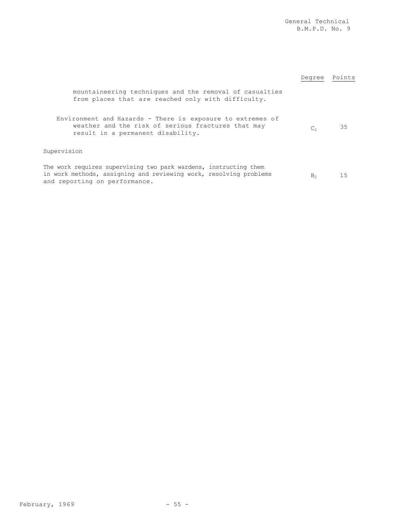|                                                                                                                                                                        | Degree                    | Points |
|------------------------------------------------------------------------------------------------------------------------------------------------------------------------|---------------------------|--------|
| mountaineering techniques and the removal of casualties<br>from places that are reached only with difficulty.                                                          |                           |        |
| Environment and Hazards - There is exposure to extremes of<br>weather and the risk of serious fractures that may<br>result in a permanent disability.                  | $\mathbb{C}^{\mathbb{R}}$ | 35     |
| Supervision                                                                                                                                                            |                           |        |
| The work requires supervising two park wardens, instructing them<br>in work methods, assigning and reviewing work, resolving problems<br>and reporting on performance. | B <sub>2</sub>            | 15     |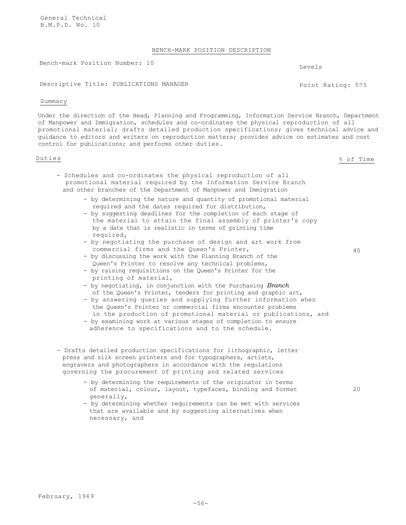General Technical B.M.P.D. No. 10

### BENCH-MARK POSITION DESCRIPTION

Bench-mark Position Number: 10 Levels

Descriptive Title: PUBLICATIONS MANAGER POINT Rating: 575

### Summary

Under the direction of the Head, Planning and Programming, Information Service Branch, Department of Manpower and Immigration, schedules and co-ordinates the physical reproduction of all promotional material; drafts detailed production specifications; gives technical advice and guidance to editors and writers on reproduction matters; provides advice on estimates and cost control for publications; and performs other duties.

Duties % of Time

- Schedules and co-ordinates the physical reproduction of all promotional material required by the Information Service Branch and other branches of the Department of Manpower and Immigration
	- by determining the nature and quantity of promotional material required and the dates required for distribution,
	- by suggesting deadlines for the completion of each stage of the material to attain the final assembly of printer's copy by a date that is realistic in terms of printing time required,
	- by negotiating the purchase of design and art work from commercial firms and the Queen's Printer,
	- by discussing the work with the Planning Branch of the Queen's Printer to resolve any technical problems,
	- by raising requisitions on the Queen's Printer for the printing of material,
	- by negotiating, in conjunction with the Purchasing *Branch* of the Queen's Printer, tenders for printing and graphic art,
	- by answering queries and supplying further information when the Queen's Printer or commercial firms encounter problems in the production of promotional material or publications, and
	- by examining work at various stages of completion to ensure adherence to specifications and to the schedule.
- Drafts detailed production specifications for lithographic, letter press and silk screen printers and for typographers, artists, engravers and photographers in accordance with the regulations governing the procurement of printing and related services
	- by determining the requirements of the originator in terms of material, colour, layout, typefaces, binding and format generally,
	- by determining whether requirements can be met with services that are available and by suggesting alternatives when necessary, and

40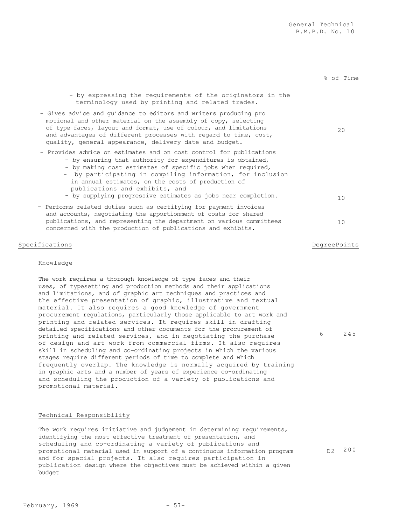% of Time

20

# of design and art work from commercial firms. It also requires skill in scheduling and co-ordinating projects in which the various stages require different periods of time to complete and which frequently overlap. The knowledge is normally acquired by training in graphic arts and a number of years of experience co-ordinating and scheduling the production of a variety of publications and promotional material. Technical Responsibility The work requires initiative and judgement in determining requirements, identifying the most effective treatment of presentation, and

scheduling and co-ordinating a variety of publications and promotional material used in support of a continuous information program and for special projects. It also requires participation in publication design where the objectives must be achieved within a given budget

Specifications **Degree Points** Degree Points **Degree Points** 

10

6 245

### D<sub>2</sub> 200

Knowledge

- by expressing the requirements of the originators in the

- by supplying progressive estimates as jobs near completion.  $10$ 

terminology used by printing and related trades.

- Gives advice and guidance to editors and writers producing pro motional and other material on the assembly of copy, selecting of type faces, layout and format, use of colour, and limitations and advantages of different processes with regard to time, cost,

- Provides advice on estimates and on cost control for publications - by ensuring that authority for expenditures is obtained, - by making cost estimates of specific jobs when required, - by participating in compiling information, for inclusion

in annual estimates, on the costs of production of

- Performs related duties such as certifying for payment invoices and accounts, negotiating the apportionment of costs for shared publications, and representing the department on various committees

concerned with the production of publications and exhibits.

The work requires a thorough knowledge of type faces and their uses, of typesetting and production methods and their applications and limitations, and of graphic art techniques and practices and the effective presentation of graphic, illustrative and textual material. It also requires a good knowledge of government

procurement regulations, particularly those applicable to art work and printing and related services. It requires skill in drafting detailed specifications and other documents for the procurement of printing and related services, and in negotiating the purchase

quality, general appearance, delivery date and budget.

publications and exhibits, and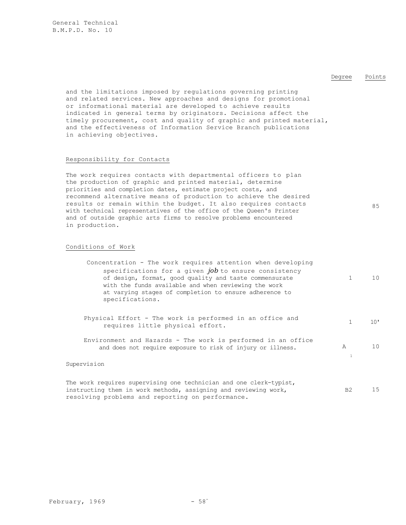### Degree Points

85

and the limitations imposed by regulations governing printing and related services. New approaches and designs for promotional or informational material are developed to achieve results indicated in general terms by originators. Decisions affect the timely procurement, cost and quality of graphic and printed material, and the effectiveness of Information Service Branch publications in achieving objectives.

### Responsibility for Contacts

The work requires contacts with departmental officers to plan the production of graphic and printed material, determine priorities and completion dates, estimate project costs, and recommend alternative means of production to achieve the desired results or remain within the budget. It also requires contacts with technical representatives of the office of the Queen's Printer and of outside graphic arts firms to resolve problems encountered in production.

### Conditions of Work

| Concentration - The work requires attention when developing                                                                                                                                                                                           |               |                 |
|-------------------------------------------------------------------------------------------------------------------------------------------------------------------------------------------------------------------------------------------------------|---------------|-----------------|
| specifications for a given $job$ to ensure consistency<br>of design, format, good quality and taste commensurate<br>with the funds available and when reviewing the work<br>at varying stages of completion to ensure adherence to<br>specifications. |               | 10 <sup>°</sup> |
| Physical Effort - The work is performed in an office and<br>requires little physical effort.                                                                                                                                                          |               | 10'             |
| Environment and Hazards - The work is performed in an office<br>and does not require exposure to risk of injury or illness.                                                                                                                           | $\mathcal{A}$ | 10              |
| Supervision                                                                                                                                                                                                                                           |               |                 |
| The usual permission currentation and technician and and alone tendent                                                                                                                                                                                |               |                 |

The work requires supervising one technician and one clerk-typist, instructing them in work methods, assigning and reviewing work, resolving problems and reporting on performance. B2 15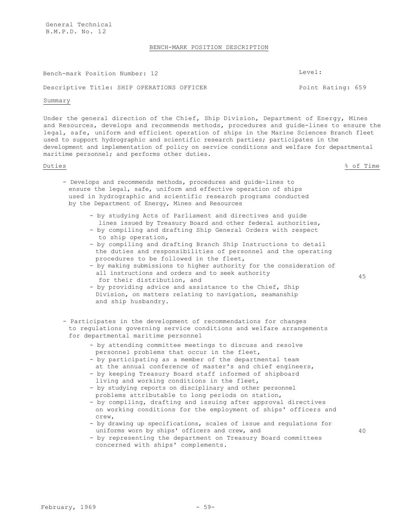General Technical B.M.P.D. No. 1 2

### BENCH-MARK POSITION DESCRIPTION

Bench-mark Position Number: 12 Level:

### Descriptive Title: SHIP OPERATIONS OFFICER The Secret of Point Rating: 659

### Summary

Under the general direction of the Chief, Ship Division, Department of Energy, Mines and Resources, develops and recommends methods, procedures and guide-lines to ensure the legal, safe, uniform and efficient operation of ships in the Marine Sciences Branch fleet used to support hydrographic and scientific research parties; participates in the development and implementation of policy on service conditions and welfare for departmental maritime personnel; and performs other duties.

Duties % of Time

45

- Develops and recommends methods, procedures and guide-lines to ensure the legal, safe, uniform and effective operation of ships used in hydrographic and scientific research programs conducted by the Department of Energy, Mines and Resources
	- by studying Acts of Parliament and directives and guide lines issued by Treasury Board and other federal authorities,
	- by compiling and drafting Ship General Orders with respect to ship operation,
	- by compiling and drafting Branch Ship Instructions to detail the duties and responsibilities of personnel and the operating procedures to be followed in the fleet,
	- by making submissions to higher authority for the consideration of all instructions and orders and to seek authority for their distribution, and
	- by providing advice and assistance to the Chief, Ship Division, on matters relating to navigation, seamanship and ship husbandry.
- Participates in the development of recommendations for changes to regulations governing service conditions and welfare arrangements for departmental maritime personnel
	- by attending committee meetings to discuss and resolve personnel problems that occur in the fleet,
	- by participating as a member of the departmental team at the annual conference of master's and chief engineers,
	- by keeping Treasury Board staff informed of shipboard living and working conditions in the fleet,
	- by studying reports on disciplinary and other personnel problems attributable to long periods on station,
	- by compiling, drafting and issuing after approval directives on working conditions for the employment of ships' officers and crew,
	- by drawing up specifications, scales of issue and regulations for uniforms worn by ships' officers and crew, and
	- by representing the department on Treasury Board committees concerned with ships' complements.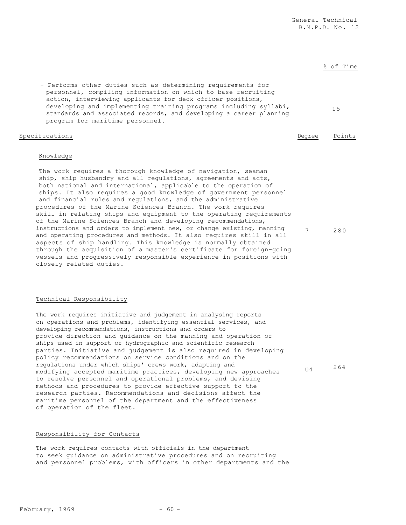personnel, compiling information on which to base recruiting action, interviewing applicants for deck officer positions, developing and implementing training programs including syllabi, standards and associated records, and developing a career planning program for maritime personnel. Specifications Degree Points

- Performs other duties such as determining requirements for

15

% of Time

U4 264

### Knowledge

The work requires a thorough knowledge of navigation, seaman ship, ship husbandry and all regulations, agreements and acts, both national and international, applicable to the operation of ships. It also requires a good knowledge of government personnel and financial rules and regulations, and the administrative procedures of the Marine Sciences Branch. The work requires skill in relating ships and equipment to the operating requirements of the Marine Sciences Branch and developing recommendations, instructions and orders to implement new, or change existing, manning and operating procedures and methods. It also requires skill in all aspects of ship handling. This knowledge is normally obtained through the acquisition of a master's certificate for foreign-going vessels and progressively responsible experience in positions with closely related duties. 7 280

### Technical Responsibility

The work requires initiative and judgement in analysing reports on operations and problems, identifying essential services, and developing recommendations, instructions and orders to provide direction and guidance on the manning and operation of ships used in support of hydrographic and scientific research parties. Initiative and judgement is also required in developing policy recommendations on service conditions and on the regulations under which ships' crews work, adapting and modifying accepted maritime practices, developing new approaches to resolve personnel and operational problems, and devising methods and procedures to provide effective support to the research parties. Recommendations and decisions affect the maritime personnel of the department and the effectiveness of operation of the fleet.

## Responsibility for Contacts

The work requires contacts with officials in the department to seek guidance on administrative procedures and on recruiting and personnel problems, with officers in other departments and the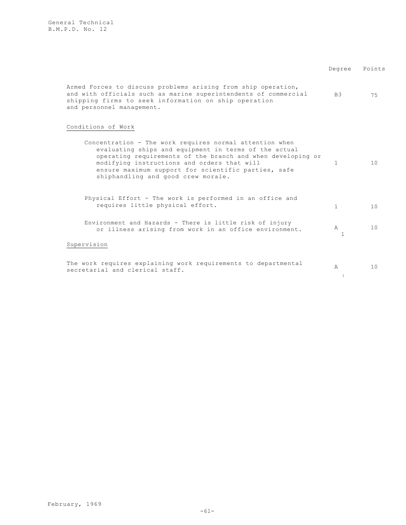| Armed Forces to discuss problems arising from ship operation,<br>and with officials such as marine superintendents of commercial<br>shipping firms to seek information on ship operation<br>and personnel management.                                                                                                       | B <sub>3</sub>                   | 75 |
|-----------------------------------------------------------------------------------------------------------------------------------------------------------------------------------------------------------------------------------------------------------------------------------------------------------------------------|----------------------------------|----|
| Conditions of Work                                                                                                                                                                                                                                                                                                          |                                  |    |
| Concentration - The work requires normal attention when<br>evaluating ships and equipment in terms of the actual<br>operating requirements of the branch and when developing or<br>modifying instructions and orders that will<br>ensure maximum support for scientific parties, safe<br>shiphandling and good crew morale. | 1                                | 10 |
| Physical Effort - The work is performed in an office and<br>requires little physical effort.                                                                                                                                                                                                                                | $\mathbf{1}$                     | 10 |
| Environment and Hazards - There is little risk of injury<br>or illness arising from work in an office environment.                                                                                                                                                                                                          | $\mathbb{A}$<br>1                | 10 |
| Supervision                                                                                                                                                                                                                                                                                                                 |                                  |    |
| The work requires explaining work requirements to departmental<br>secretarial and clerical staff.                                                                                                                                                                                                                           | $\triangleright$<br>$\mathbf{1}$ | 10 |

Degree Points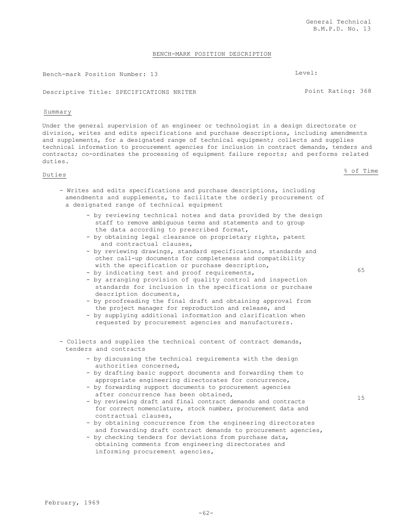February, 1969

General Technical B.M.P.D. No. 13

### BENCH-MARK POSITION DESCRIPTION

Bench-mark Position Number: 13 Level:

Descriptive Title: SPECIFICATIONS NRITER Point Rating: 368

### Summary

Under the general supervision of an engineer or technologist in a design directorate or division, writes and edits specifications and purchase descriptions, including amendments and supplements, for a designated range of technical equipment; collects and supplies technical information to procurement agencies for inclusion in contract demands, tenders and contracts; co-ordinates the processing of equipment failure reports; and performs related duties.

- Writes and edits specifications and purchase descriptions, including amendments and supplements, to facilitate the orderly procurement of a designated range of technical equipment
	- by reviewing technical notes and data provided by the design staff to remove ambiguous terms and statements and to group the data according to prescribed format,
	- by obtaining legal clearance on proprietary rights, patent and contractual clauses,
	- by reviewing drawings, standard specifications, standards and other call-up documents for completeness and compatibility with the specification or purchase description,
	- by indicating test and proof requirements,
	- by arranging provision of quality control and inspection standards for inclusion in the specifications or purchase description documents,
	- by proofreading the final draft and obtaining approval from the project manager for reproduction and release, and
	- by supplying additional information and clarification when requested by procurement agencies and manufacturers.
- Collects and supplies the technical content of contract demands, tenders and contracts
	- by discussing the technical requirements with the design authorities concerned,
	- by drafting basic support documents and forwarding them to appropriate engineering directorates for concurrence,
	- by forwarding support documents to procurement agencies after concurrence has been obtained,
	- by reviewing draft and final contract demands and contracts for correct nomenclature, stock number, procurement data and contractual clauses,
	- by obtaining concurrence from the engineering directorates and forwarding draft contract demands to procurement agencies,
	- by checking tenders for deviations from purchase data, obtaining comments from engineering directorates and informing procurement agencies,

65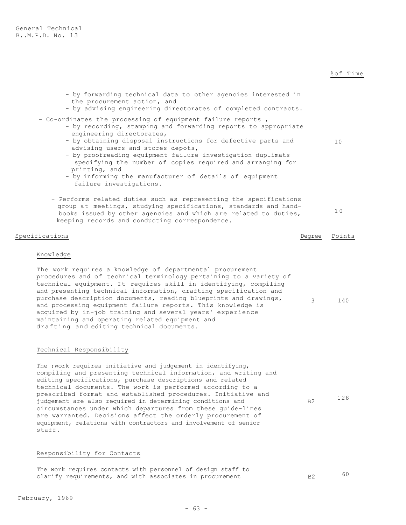| - by forwarding technical data to other agencies interested in<br>the procurement action, and<br>- by advising engineering directorates of completed contracts.                                                                                                                                                                                                                                                                                                                                                                                                                                                              |        |        |
|------------------------------------------------------------------------------------------------------------------------------------------------------------------------------------------------------------------------------------------------------------------------------------------------------------------------------------------------------------------------------------------------------------------------------------------------------------------------------------------------------------------------------------------------------------------------------------------------------------------------------|--------|--------|
| - Co-ordinates the processing of equipment failure reports,<br>- by recording, stamping and forwarding reports to appropriate<br>engineering directorates,<br>- by obtaining disposal instructions for defective parts and<br>advising users and stores depots,<br>- by proofreading equipment failure investigation duplimats<br>specifying the number of copies required and arranging for<br>printing, and<br>- by informing the manufacturer of details of equipment<br>failure investigations.                                                                                                                          |        | 10     |
| - Performs related duties such as representing the specifications<br>group at meetings, studying specifications, standards and hand-<br>books issued by other agencies and which are related to duties,<br>keeping records and conducting correspondence.                                                                                                                                                                                                                                                                                                                                                                    |        | 10     |
| Specifications                                                                                                                                                                                                                                                                                                                                                                                                                                                                                                                                                                                                               | Degree | Points |
| Knowledge<br>The work requires a knowledge of departmental procurement<br>procedures and of technical terminology pertaining to a variety of<br>technical equipment. It requires skill in identifying, compiling<br>and presenting technical information, drafting specification and<br>purchase description documents, reading blueprints and drawings,<br>and processing equipment failure reports. This knowledge is<br>acquired by in-job training and several years' experience<br>maintaining and operating related equipment and<br>drafting and editing technical documents.                                         | 3      | 140    |
| Technical Responsibility<br>The ; work requires initiative and judgement in identifying,<br>compiling and presenting technical information, and writing and<br>editing specifications, purchase descriptions and related<br>technical documents. The work is performed according to a<br>prescribed format and established procedures. Initiative and<br>judgement are also required in determining conditions and<br>circumstances under which departures from these quide-lines<br>are warranted. Decisions affect the orderly procurement of<br>equipment, relations with contractors and involvement of senior<br>staff. | B2     | 128    |
|                                                                                                                                                                                                                                                                                                                                                                                                                                                                                                                                                                                                                              |        |        |

## Responsibility for Contacts

| The work requires contacts with personnel of design staff to |  |  |  |                |    |
|--------------------------------------------------------------|--|--|--|----------------|----|
| clarify requirements, and with associates in procurement     |  |  |  | B <sub>2</sub> | 60 |